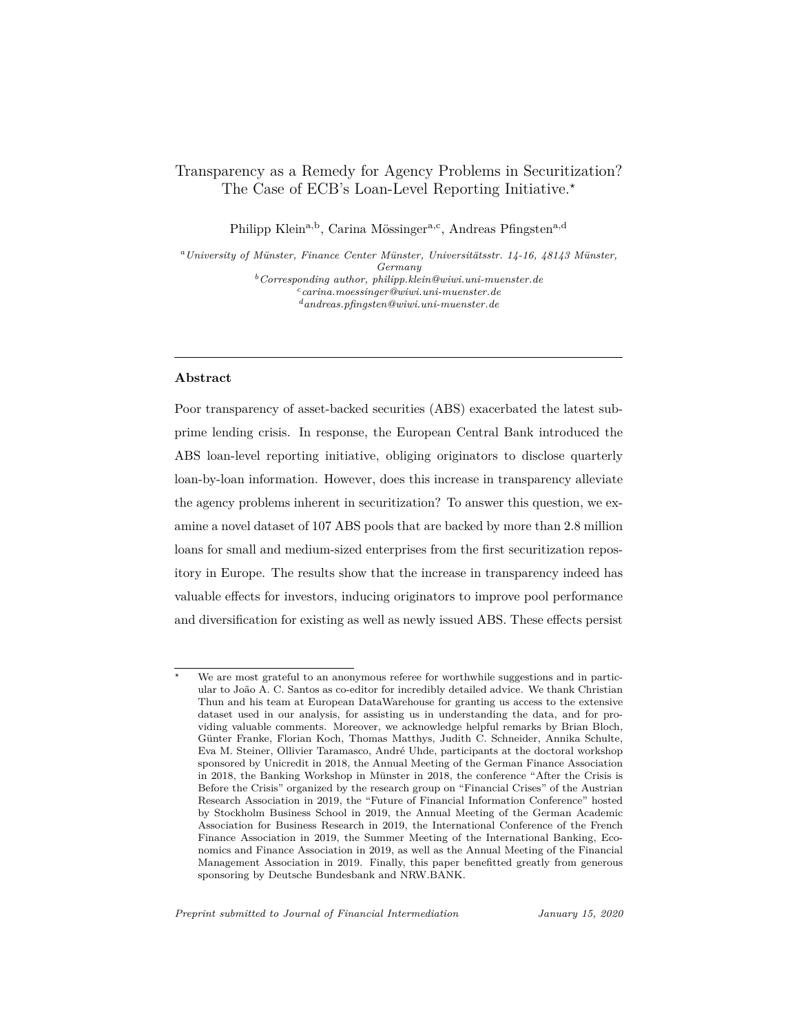# <span id="page-0-0"></span>Transparency as a Remedy for Agency Problems in Securitization? The Case of ECB's Loan-Level Reporting Initiative.*?*

Philipp Klein<sup>a,b</sup>, Carina Mössinger<sup>a,c</sup>, Andreas Pfingsten<sup>a,d</sup>

*<sup>a</sup>University of Münster, Finance Center Münster, Universitätsstr. 14-16, 48143 Münster, Germany <sup>b</sup>Corresponding author, philipp.klein@wiwi.uni-muenster.de <sup>c</sup>carina.moessinger@wiwi.uni-muenster.de <sup>d</sup>andreas.pfingsten@wiwi.uni-muenster.de*

### **Abstract**

Poor transparency of asset-backed securities (ABS) exacerbated the latest subprime lending crisis. In response, the European Central Bank introduced the ABS loan-level reporting initiative, obliging originators to disclose quarterly loan-by-loan information. However, does this increase in transparency alleviate the agency problems inherent in securitization? To answer this question, we examine a novel dataset of 107 ABS pools that are backed by more than 2.8 million loans for small and medium-sized enterprises from the first securitization repository in Europe. The results show that the increase in transparency indeed has valuable effects for investors, inducing originators to improve pool performance and diversification for existing as well as newly issued ABS. These effects persist

We are most grateful to an anonymous referee for worthwhile suggestions and in particular to João A. C. Santos as co-editor for incredibly detailed advice. We thank Christian Thun and his team at European DataWarehouse for granting us access to the extensive dataset used in our analysis, for assisting us in understanding the data, and for providing valuable comments. Moreover, we acknowledge helpful remarks by Brian Bloch, Günter Franke, Florian Koch, Thomas Matthys, Judith C. Schneider, Annika Schulte, Eva M. Steiner, Ollivier Taramasco, André Uhde, participants at the doctoral workshop sponsored by Unicredit in 2018, the Annual Meeting of the German Finance Association in 2018, the Banking Workshop in Münster in 2018, the conference "After the Crisis is Before the Crisis" organized by the research group on "Financial Crises" of the Austrian Research Association in 2019, the "Future of Financial Information Conference" hosted by Stockholm Business School in 2019, the Annual Meeting of the German Academic Association for Business Research in 2019, the International Conference of the French Finance Association in 2019, the Summer Meeting of the International Banking, Economics and Finance Association in 2019, as well as the Annual Meeting of the Financial Management Association in 2019. Finally, this paper benefitted greatly from generous sponsoring by Deutsche Bundesbank and NRW.BANK.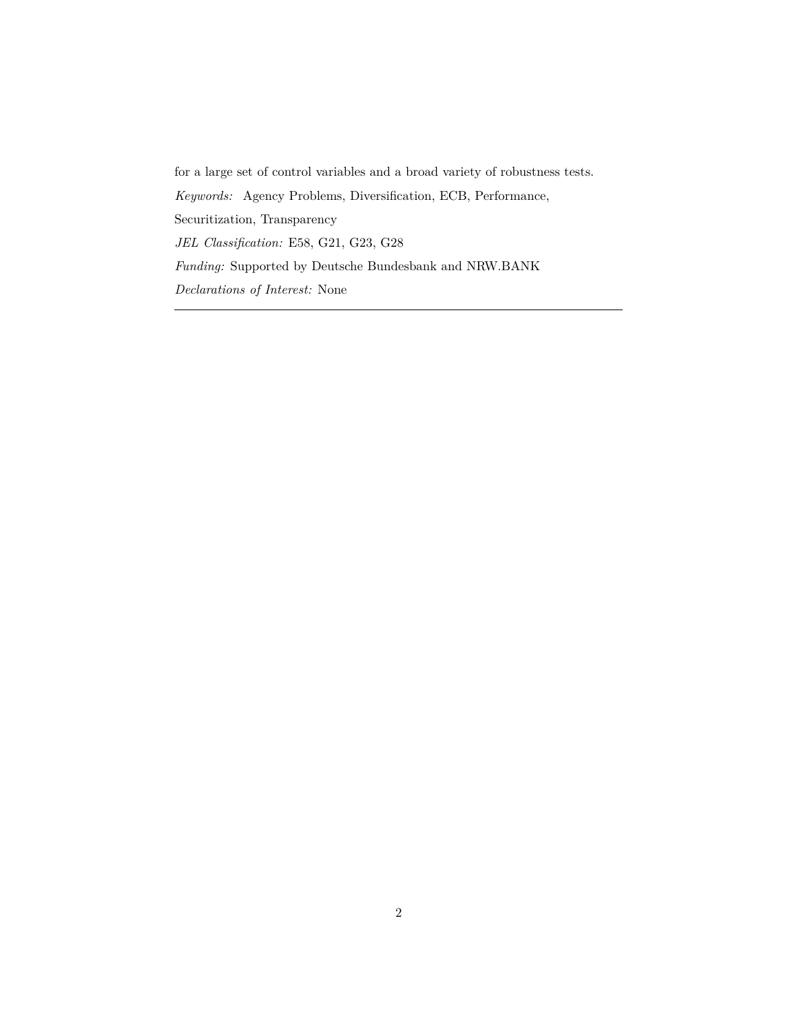for a large set of control variables and a broad variety of robustness tests. *Keywords:* Agency Problems, Diversification, ECB, Performance, Securitization, Transparency *JEL Classification:* E58, G21, G23, G28 *Funding:* Supported by Deutsche Bundesbank and NRW.BANK *Declarations of Interest:* None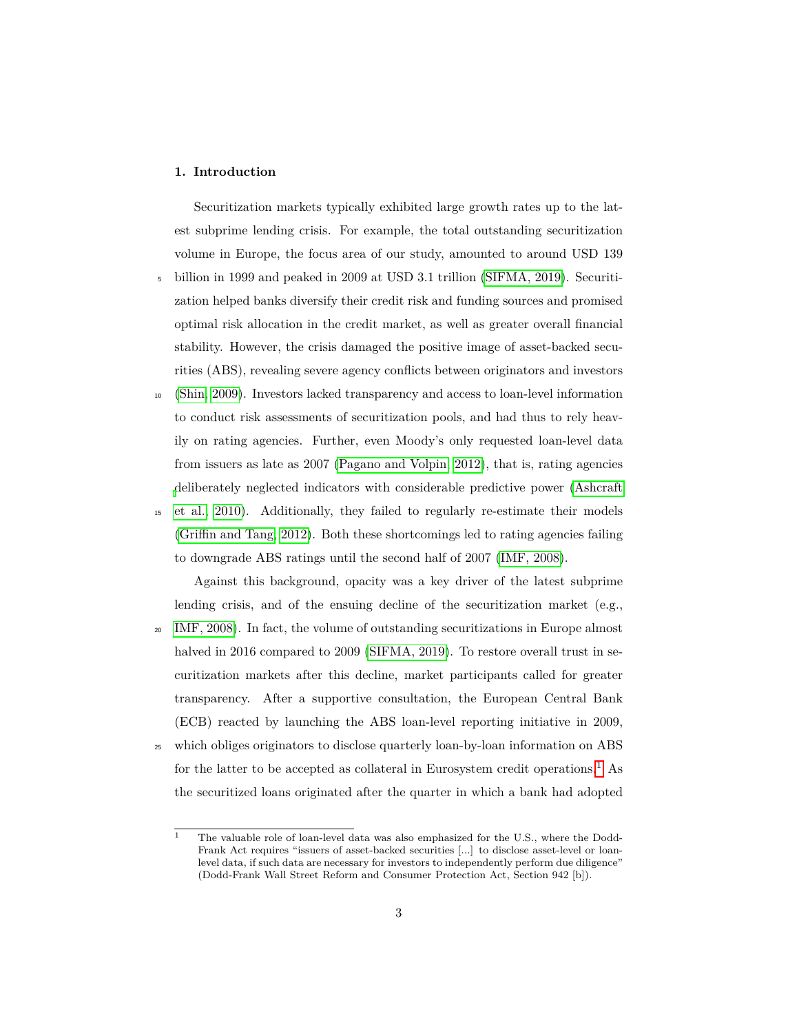## **1. Introduction**

Securitization markets typically exhibited large growth rates up to the latest subprime lending crisis. For example, the total outstanding securitization volume in Europe, the focus area of our study, amounted to around USD 139 <sup>5</sup> billion in 1999 and peaked in 2009 at USD 3.1 trillion [\(SIFMA, 2019\)](#page-37-0). Securiti-

- zation helped banks diversify their credit risk and funding sources and promised optimal risk allocation in the credit market, as well as greater overall financial stability. However, the crisis damaged the positive image of asset-backed securities (ABS), revealing severe agency conflicts between originators and investors
- <sup>10</sup> [\(Shin, 2009\)](#page-37-1). Investors lacked transparency and access to loan-level information to conduct risk assessments of securitization pools, and had thus to rely heavily on rating agencies. Further, even Moody's only requested loan-level data from issuers as late as 2007 [\(Pagano and Volpin, 2012\)](#page-37-2), that is, rating agencies [d](#page-35-0)eliberately neglected indicators with considerable predictive power [\(Ashcraft](#page-35-0)
- <sup>15</sup> [et al., 2010\)](#page-35-0). Additionally, they failed to regularly re-estimate their models [\(Griffin and Tang, 2012\)](#page-36-0). Both these shortcomings led to rating agencies failing to downgrade ABS ratings until the second half of 2007 [\(IMF, 2008\)](#page-37-3).

Against this background, opacity was a key driver of the latest subprime lending crisis, and of the ensuing decline of the securitization market (e.g., <sup>20</sup> [IMF, 2008\)](#page-37-3). In fact, the volume of outstanding securitizations in Europe almost halved in 2016 compared to 2009 [\(SIFMA, 2019\)](#page-37-0). To restore overall trust in securitization markets after this decline, market participants called for greater transparency. After a supportive consultation, the European Central Bank (ECB) reacted by launching the ABS loan-level reporting initiative in 2009,

<sup>25</sup> which obliges originators to disclose quarterly loan-by-loan information on ABS for the latter to be accepted as collateral in Eurosystem credit operations.<sup>[1](#page-0-0)</sup> As the securitized loans originated after the quarter in which a bank had adopted

 $\overline{1}$  The valuable role of loan-level data was also emphasized for the U.S., where the Dodd-Frank Act requires "issuers of asset-backed securities [...] to disclose asset-level or loanlevel data, if such data are necessary for investors to independently perform due diligence" (Dodd-Frank Wall Street Reform and Consumer Protection Act, Section 942 [b]).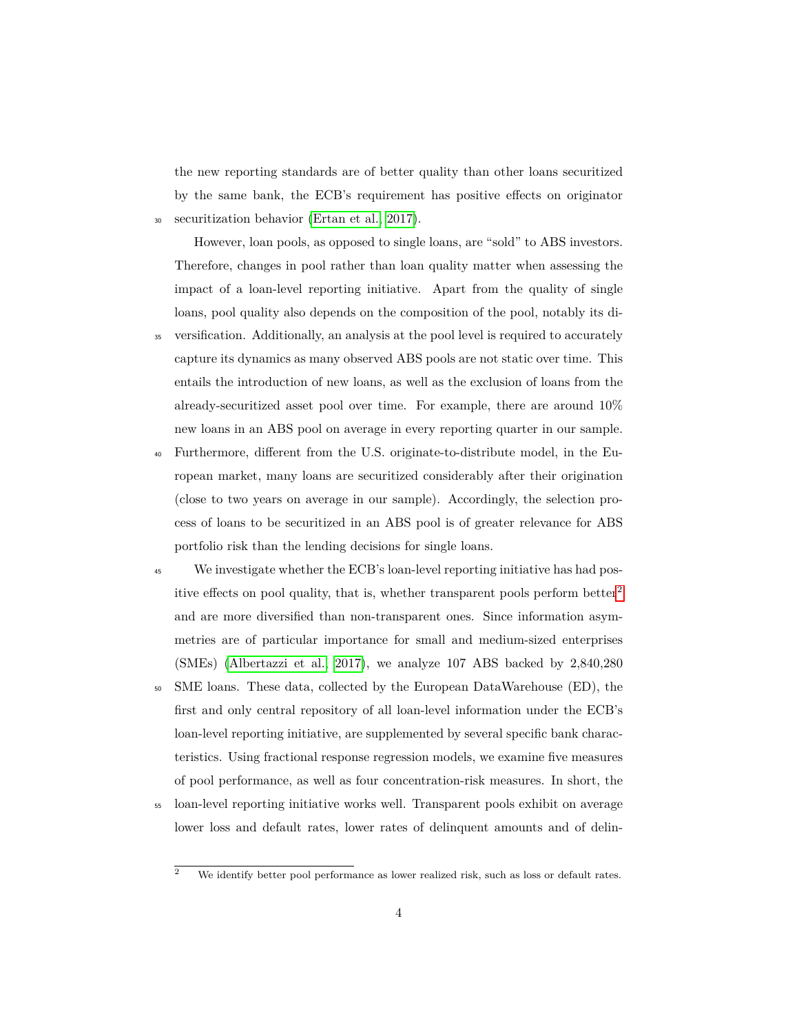the new reporting standards are of better quality than other loans securitized by the same bank, the ECB's requirement has positive effects on originator <sup>30</sup> securitization behavior [\(Ertan et al., 2017\)](#page-35-1).

However, loan pools, as opposed to single loans, are "sold" to ABS investors. Therefore, changes in pool rather than loan quality matter when assessing the impact of a loan-level reporting initiative. Apart from the quality of single loans, pool quality also depends on the composition of the pool, notably its di-

- <sup>35</sup> versification. Additionally, an analysis at the pool level is required to accurately capture its dynamics as many observed ABS pools are not static over time. This entails the introduction of new loans, as well as the exclusion of loans from the already-securitized asset pool over time. For example, there are around 10% new loans in an ABS pool on average in every reporting quarter in our sample.
- <sup>40</sup> Furthermore, different from the U.S. originate-to-distribute model, in the European market, many loans are securitized considerably after their origination (close to two years on average in our sample). Accordingly, the selection process of loans to be securitized in an ABS pool is of greater relevance for ABS portfolio risk than the lending decisions for single loans.
- <sup>45</sup> We investigate whether the ECB's loan-level reporting initiative has had pos-itive effects on pool quality, that is, whether transparent pools perform better<sup>[2](#page-0-0)</sup> and are more diversified than non-transparent ones. Since information asymmetries are of particular importance for small and medium-sized enterprises (SMEs) [\(Albertazzi et al., 2017\)](#page-35-2), we analyze 107 ABS backed by 2,840,280
- <sup>50</sup> SME loans. These data, collected by the European DataWarehouse (ED), the first and only central repository of all loan-level information under the ECB's loan-level reporting initiative, are supplemented by several specific bank characteristics. Using fractional response regression models, we examine five measures of pool performance, as well as four concentration-risk measures. In short, the
- <sup>55</sup> loan-level reporting initiative works well. Transparent pools exhibit on average lower loss and default rates, lower rates of delinquent amounts and of delin-

 $\overline{2}$  We identify better pool performance as lower realized risk, such as loss or default rates.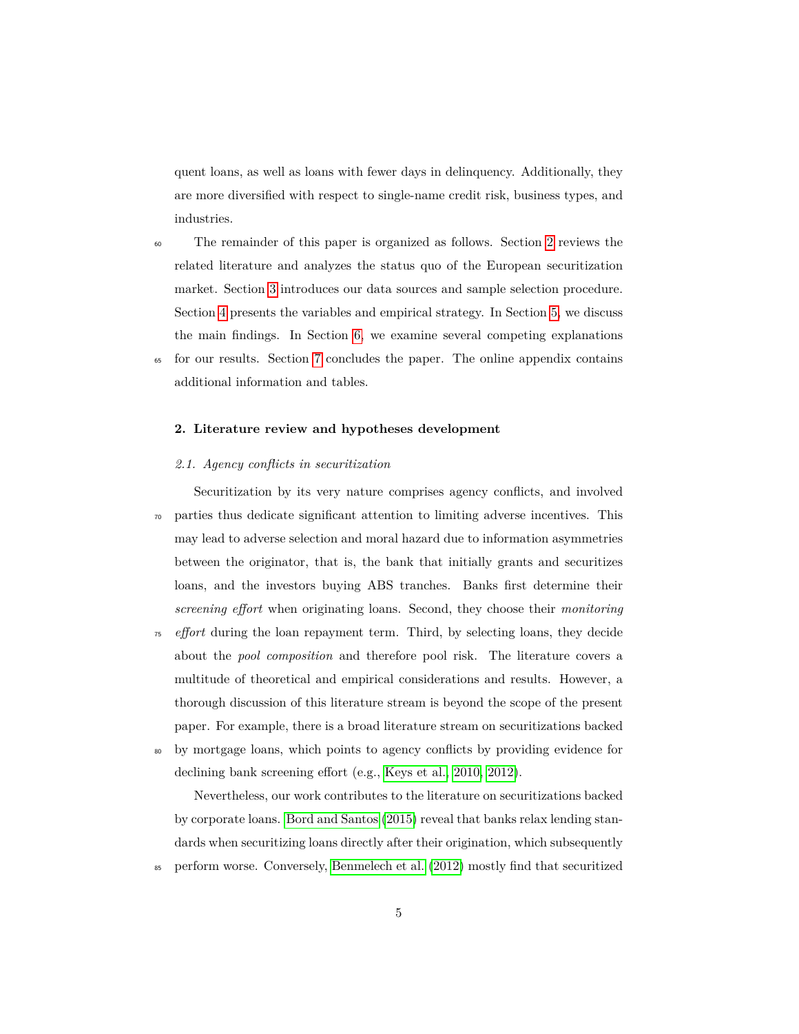quent loans, as well as loans with fewer days in delinquency. Additionally, they are more diversified with respect to single-name credit risk, business types, and industries.

- <sup>60</sup> The remainder of this paper is organized as follows. Section [2](#page-4-0) reviews the related literature and analyzes the status quo of the European securitization market. Section [3](#page-8-0) introduces our data sources and sample selection procedure. Section [4](#page-11-0) presents the variables and empirical strategy. In Section [5,](#page-19-0) we discuss the main findings. In Section [6,](#page-31-0) we examine several competing explanations <sup>65</sup> for our results. Section [7](#page-34-0) concludes the paper. The online appendix contains
- additional information and tables.

## <span id="page-4-0"></span>**2. Literature review and hypotheses development**

## *2.1. Agency conflicts in securitization*

Securitization by its very nature comprises agency conflicts, and involved <sup>70</sup> parties thus dedicate significant attention to limiting adverse incentives. This may lead to adverse selection and moral hazard due to information asymmetries between the originator, that is, the bank that initially grants and securitizes loans, and the investors buying ABS tranches. Banks first determine their *screening effort* when originating loans. Second, they choose their *monitoring*

- <sup>75</sup> *effort* during the loan repayment term. Third, by selecting loans, they decide about the *pool composition* and therefore pool risk. The literature covers a multitude of theoretical and empirical considerations and results. However, a thorough discussion of this literature stream is beyond the scope of the present paper. For example, there is a broad literature stream on securitizations backed
- <sup>80</sup> by mortgage loans, which points to agency conflicts by providing evidence for declining bank screening effort (e.g., [Keys et al., 2010,](#page-37-4) [2012\)](#page-37-5).

Nevertheless, our work contributes to the literature on securitizations backed by corporate loans. [Bord and Santos](#page-35-3) [\(2015\)](#page-35-3) reveal that banks relax lending standards when securitizing loans directly after their origination, which subsequently <sup>85</sup> perform worse. Conversely, [Benmelech et al.](#page-35-4) [\(2012\)](#page-35-4) mostly find that securitized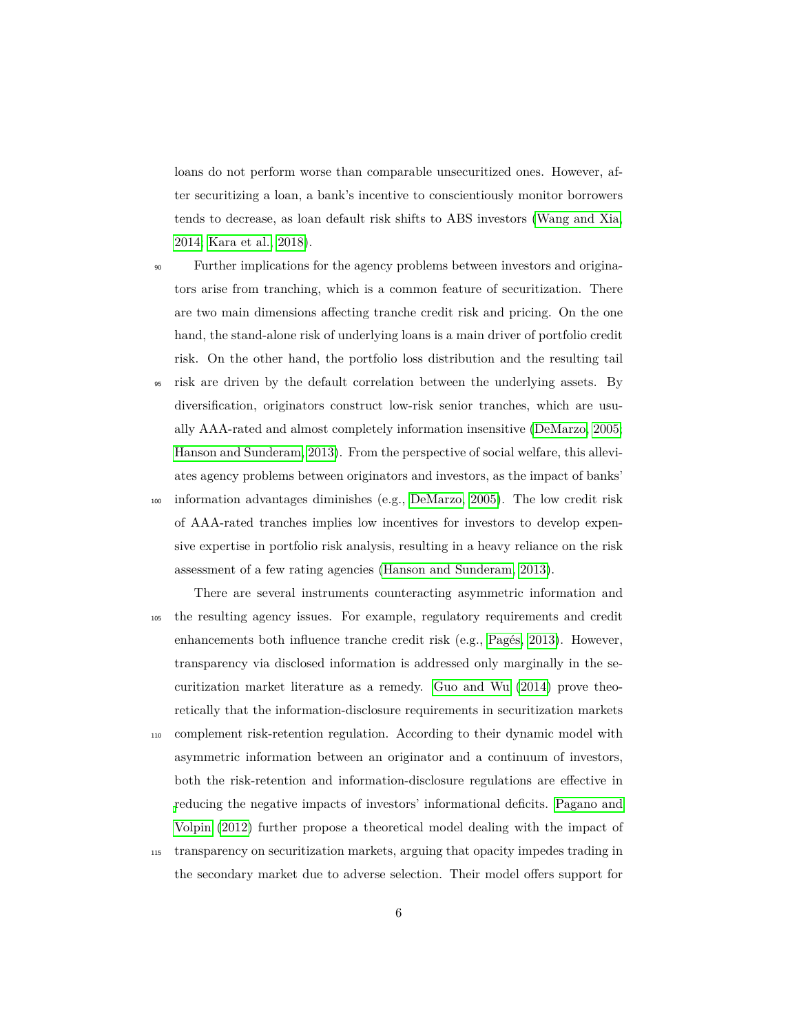loans do not perform worse than comparable unsecuritized ones. However, after securitizing a loan, a bank's incentive to conscientiously monitor borrowers tends to decrease, as loan default risk shifts to ABS investors [\(Wang and Xia,](#page-38-0) [2014;](#page-38-0) [Kara et al., 2018\)](#page-37-6).

- <sup>90</sup> Further implications for the agency problems between investors and originators arise from tranching, which is a common feature of securitization. There are two main dimensions affecting tranche credit risk and pricing. On the one hand, the stand-alone risk of underlying loans is a main driver of portfolio credit risk. On the other hand, the portfolio loss distribution and the resulting tail
- <sup>95</sup> risk are driven by the default correlation between the underlying assets. By diversification, originators construct low-risk senior tranches, which are usually AAA-rated and almost completely information insensitive [\(DeMarzo, 2005;](#page-35-5) [Hanson and Sunderam, 2013\)](#page-36-1). From the perspective of social welfare, this alleviates agency problems between originators and investors, as the impact of banks' <sup>100</sup> information advantages diminishes (e.g., [DeMarzo, 2005\)](#page-35-5). The low credit risk of AAA-rated tranches implies low incentives for investors to develop expensive expertise in portfolio risk analysis, resulting in a heavy reliance on the risk assessment of a few rating agencies [\(Hanson and Sunderam, 2013\)](#page-36-1).
- There are several instruments counteracting asymmetric information and <sup>105</sup> the resulting agency issues. For example, regulatory requirements and credit enhancements both influence tranche credit risk (e.g., [Pagés, 2013\)](#page-37-7). However, transparency via disclosed information is addressed only marginally in the securitization market literature as a remedy. [Guo and Wu](#page-36-2) [\(2014\)](#page-36-2) prove theoretically that the information-disclosure requirements in securitization markets
- <sup>110</sup> complement risk-retention regulation. According to their dynamic model with asymmetric information between an originator and a continuum of investors, both the risk-retention and information-disclosure regulations are effective in [r](#page-37-2)educing the negative impacts of investors' informational deficits. [Pagano and](#page-37-2) [Volpin](#page-37-2) [\(2012\)](#page-37-2) further propose a theoretical model dealing with the impact of
- <sup>115</sup> transparency on securitization markets, arguing that opacity impedes trading in the secondary market due to adverse selection. Their model offers support for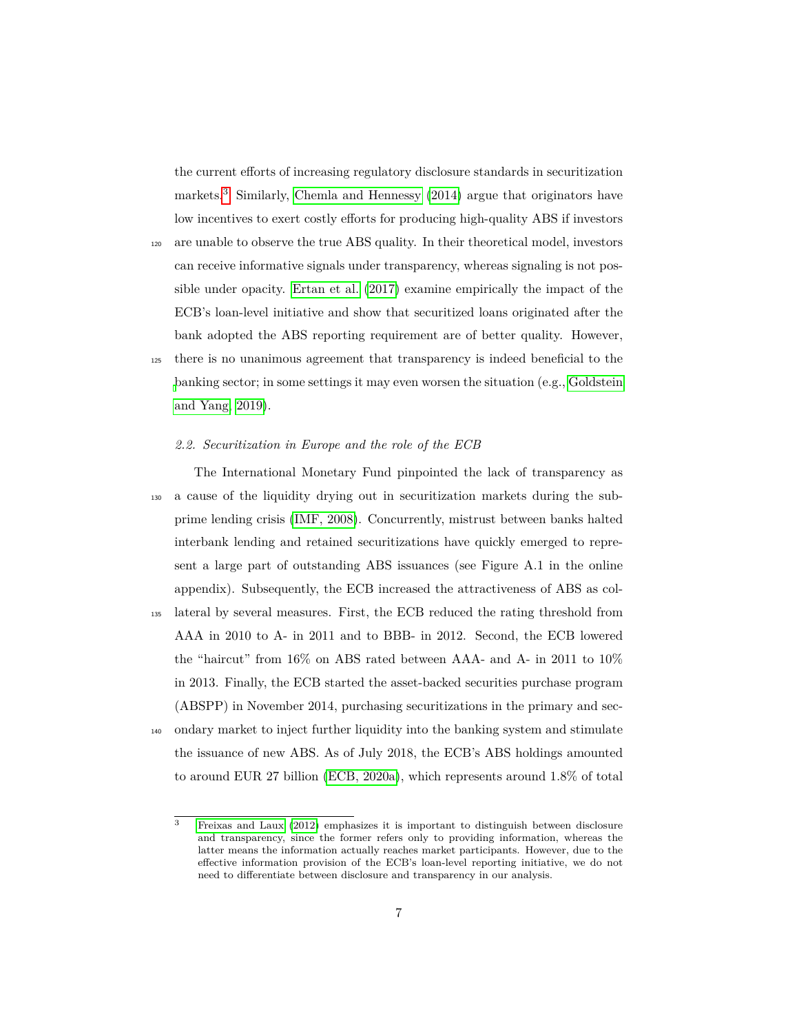the current efforts of increasing regulatory disclosure standards in securitization markets.[3](#page-0-0) Similarly, [Chemla and Hennessy](#page-35-6) [\(2014\)](#page-35-6) argue that originators have low incentives to exert costly efforts for producing high-quality ABS if investors

- <sup>120</sup> are unable to observe the true ABS quality. In their theoretical model, investors can receive informative signals under transparency, whereas signaling is not possible under opacity. [Ertan et al.](#page-35-1) [\(2017\)](#page-35-1) examine empirically the impact of the ECB's loan-level initiative and show that securitized loans originated after the bank adopted the ABS reporting requirement are of better quality. However, <sup>125</sup> there is no unanimous agreement that transparency is indeed beneficial to the
- [b](#page-36-3)anking sector; in some settings it may even worsen the situation (e.g., [Goldstein](#page-36-3) [and Yang, 2019\)](#page-36-3).

## *2.2. Securitization in Europe and the role of the ECB*

The International Monetary Fund pinpointed the lack of transparency as <sup>130</sup> a cause of the liquidity drying out in securitization markets during the subprime lending crisis [\(IMF, 2008\)](#page-37-3). Concurrently, mistrust between banks halted interbank lending and retained securitizations have quickly emerged to represent a large part of outstanding ABS issuances (see Figure A.1 in the online appendix). Subsequently, the ECB increased the attractiveness of ABS as col-<sup>135</sup> lateral by several measures. First, the ECB reduced the rating threshold from AAA in 2010 to A- in 2011 and to BBB- in 2012. Second, the ECB lowered the "haircut" from 16% on ABS rated between AAA- and A- in 2011 to 10% in 2013. Finally, the ECB started the asset-backed securities purchase program (ABSPP) in November 2014, purchasing securitizations in the primary and sec-<sup>140</sup> ondary market to inject further liquidity into the banking system and stimulate the issuance of new ABS. As of July 2018, the ECB's ABS holdings amounted to around EUR 27 billion [\(ECB, 2020a\)](#page-36-4), which represents around 1.8% of total

<sup>3</sup> [Freixas and Laux](#page-36-5) [\(2012\)](#page-36-5) emphasizes it is important to distinguish between disclosure and transparency, since the former refers only to providing information, whereas the latter means the information actually reaches market participants. However, due to the effective information provision of the ECB's loan-level reporting initiative, we do not need to differentiate between disclosure and transparency in our analysis.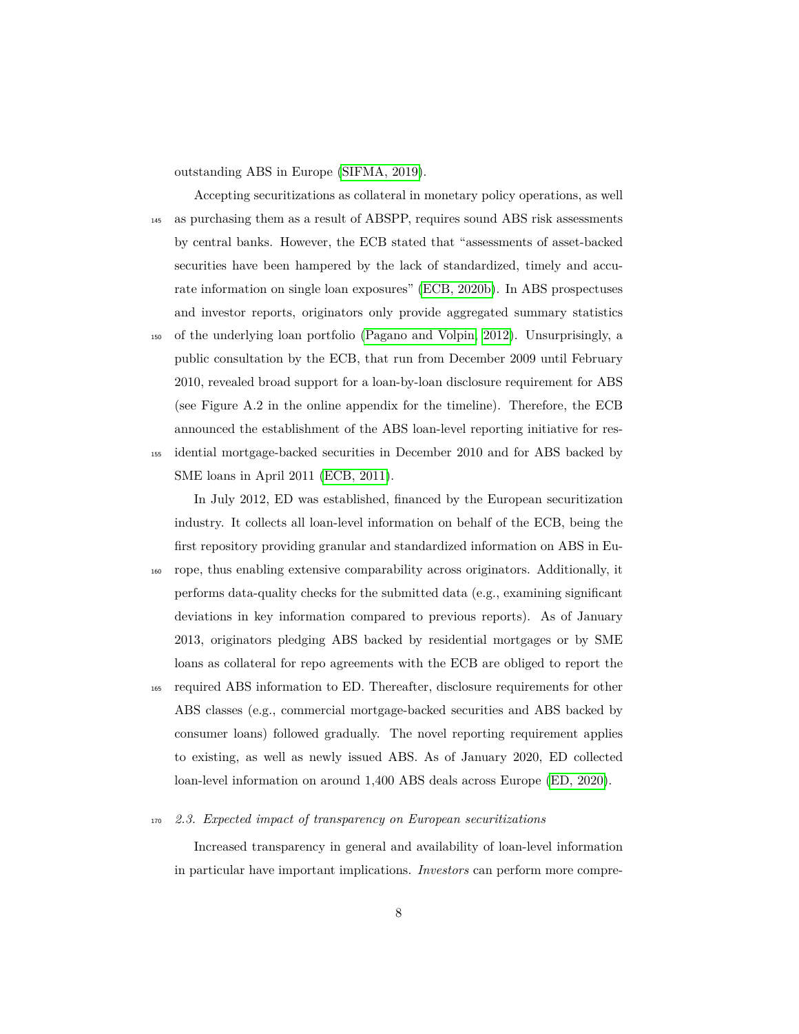outstanding ABS in Europe [\(SIFMA, 2019\)](#page-37-0).

Accepting securitizations as collateral in monetary policy operations, as well <sup>145</sup> as purchasing them as a result of ABSPP, requires sound ABS risk assessments by central banks. However, the ECB stated that "assessments of asset-backed securities have been hampered by the lack of standardized, timely and accurate information on single loan exposures" [\(ECB, 2020b\)](#page-36-6). In ABS prospectuses and investor reports, originators only provide aggregated summary statistics

<sup>150</sup> of the underlying loan portfolio [\(Pagano and Volpin, 2012\)](#page-37-2). Unsurprisingly, a public consultation by the ECB, that run from December 2009 until February 2010, revealed broad support for a loan-by-loan disclosure requirement for ABS (see Figure A.2 in the online appendix for the timeline). Therefore, the ECB announced the establishment of the ABS loan-level reporting initiative for res-<sup>155</sup> idential mortgage-backed securities in December 2010 and for ABS backed by

SME loans in April 2011 [\(ECB, 2011\)](#page-35-7).

In July 2012, ED was established, financed by the European securitization industry. It collects all loan-level information on behalf of the ECB, being the first repository providing granular and standardized information on ABS in Eu-

- <sup>160</sup> rope, thus enabling extensive comparability across originators. Additionally, it performs data-quality checks for the submitted data (e.g., examining significant deviations in key information compared to previous reports). As of January 2013, originators pledging ABS backed by residential mortgages or by SME loans as collateral for repo agreements with the ECB are obliged to report the
- <sup>165</sup> required ABS information to ED. Thereafter, disclosure requirements for other ABS classes (e.g., commercial mortgage-backed securities and ABS backed by consumer loans) followed gradually. The novel reporting requirement applies to existing, as well as newly issued ABS. As of January 2020, ED collected loan-level information on around 1,400 ABS deals across Europe [\(ED, 2020\)](#page-36-7).

#### <sup>170</sup> *2.3. Expected impact of transparency on European securitizations*

Increased transparency in general and availability of loan-level information in particular have important implications. *Investors* can perform more compre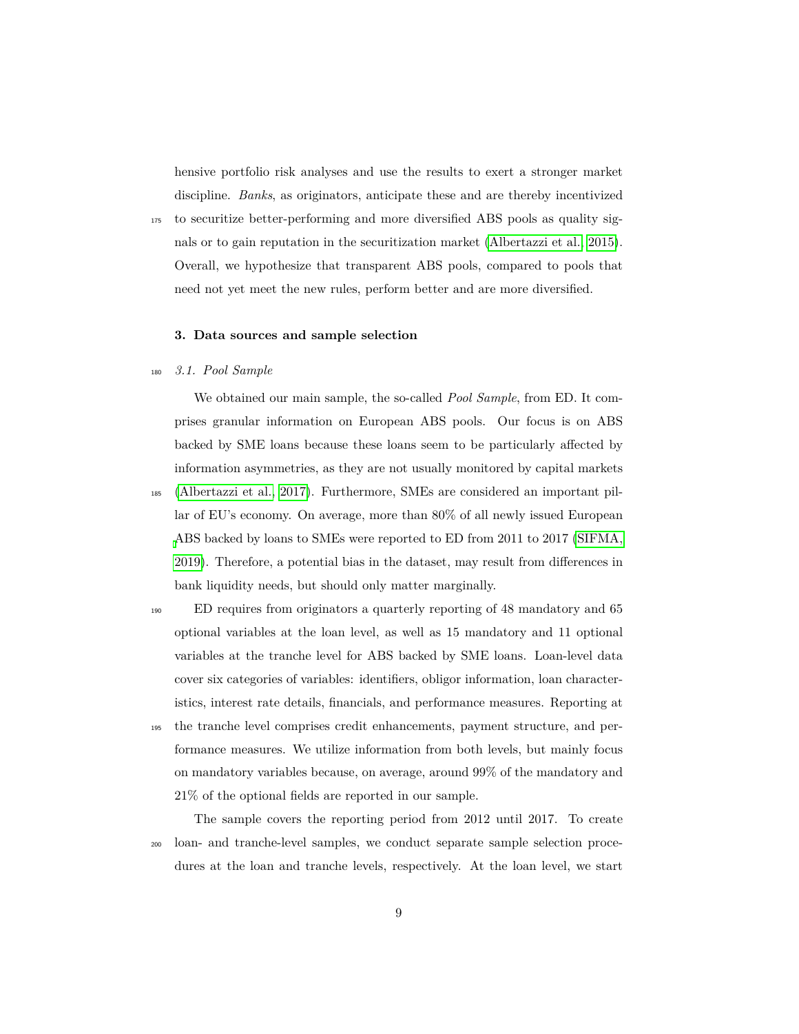hensive portfolio risk analyses and use the results to exert a stronger market discipline. *Banks*, as originators, anticipate these and are thereby incentivized

<sup>175</sup> to securitize better-performing and more diversified ABS pools as quality signals or to gain reputation in the securitization market [\(Albertazzi et al., 2015\)](#page-35-8). Overall, we hypothesize that transparent ABS pools, compared to pools that need not yet meet the new rules, perform better and are more diversified.

## <span id="page-8-1"></span><span id="page-8-0"></span>**3. Data sources and sample selection**

#### <sup>180</sup> *3.1. Pool Sample*

We obtained our main sample, the so-called *Pool Sample*, from ED. It comprises granular information on European ABS pools. Our focus is on ABS backed by SME loans because these loans seem to be particularly affected by information asymmetries, as they are not usually monitored by capital markets

<sup>185</sup> [\(Albertazzi et al., 2017\)](#page-35-2). Furthermore, SMEs are considered an important pillar of EU's economy. On average, more than 80% of all newly issued European [A](#page-37-0)BS backed by loans to SMEs were reported to ED from 2011 to 2017 [\(SIFMA,](#page-37-0) [2019\)](#page-37-0). Therefore, a potential bias in the dataset, may result from differences in bank liquidity needs, but should only matter marginally.

<sup>190</sup> ED requires from originators a quarterly reporting of 48 mandatory and 65 optional variables at the loan level, as well as 15 mandatory and 11 optional variables at the tranche level for ABS backed by SME loans. Loan-level data cover six categories of variables: identifiers, obligor information, loan characteristics, interest rate details, financials, and performance measures. Reporting at

<sup>195</sup> the tranche level comprises credit enhancements, payment structure, and performance measures. We utilize information from both levels, but mainly focus on mandatory variables because, on average, around 99% of the mandatory and 21% of the optional fields are reported in our sample.

The sample covers the reporting period from 2012 until 2017. To create <sup>200</sup> loan- and tranche-level samples, we conduct separate sample selection procedures at the loan and tranche levels, respectively. At the loan level, we start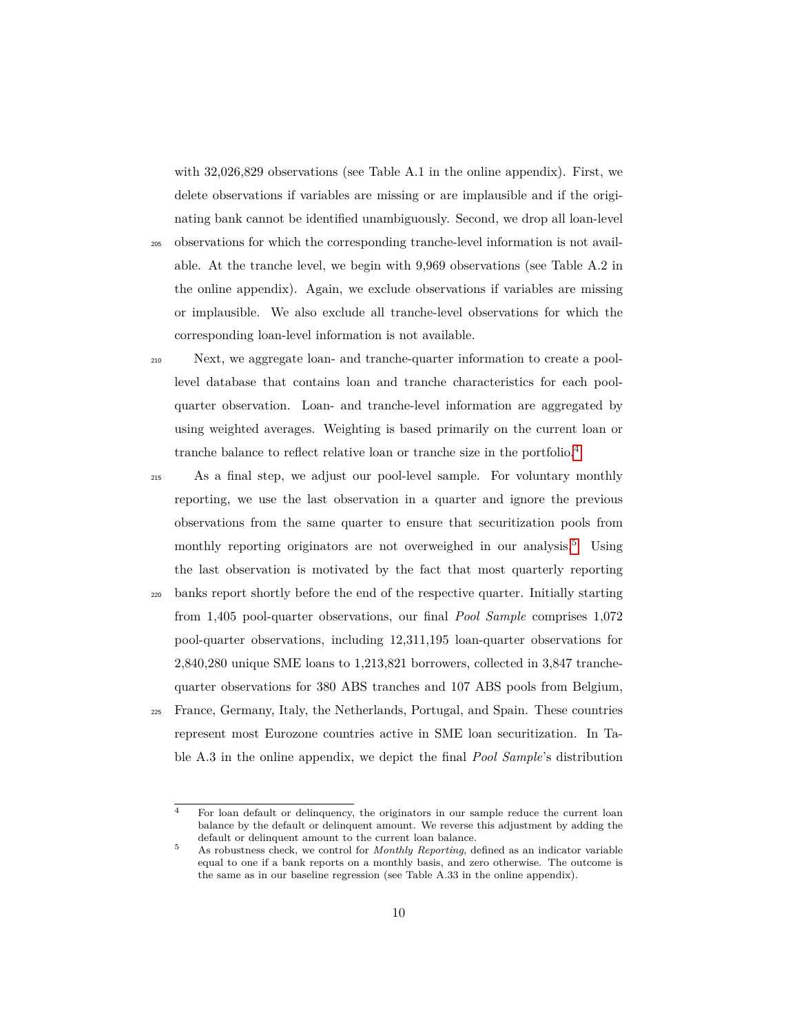with 32,026,829 observations (see Table A.1 in the online appendix). First, we delete observations if variables are missing or are implausible and if the originating bank cannot be identified unambiguously. Second, we drop all loan-level

<sup>205</sup> observations for which the corresponding tranche-level information is not available. At the tranche level, we begin with 9,969 observations (see Table A.2 in the online appendix). Again, we exclude observations if variables are missing or implausible. We also exclude all tranche-level observations for which the corresponding loan-level information is not available.

<sup>210</sup> Next, we aggregate loan- and tranche-quarter information to create a poollevel database that contains loan and tranche characteristics for each poolquarter observation. Loan- and tranche-level information are aggregated by using weighted averages. Weighting is based primarily on the current loan or tranche balance to reflect relative loan or tranche size in the portfolio.[4](#page-0-0)

<sup>215</sup> As a final step, we adjust our pool-level sample. For voluntary monthly reporting, we use the last observation in a quarter and ignore the previous observations from the same quarter to ensure that securitization pools from monthly reporting originators are not overweighed in our analysis.<sup>[5](#page-0-0)</sup> Using the last observation is motivated by the fact that most quarterly reporting

- <sup>220</sup> banks report shortly before the end of the respective quarter. Initially starting from 1,405 pool-quarter observations, our final *Pool Sample* comprises 1,072 pool-quarter observations, including 12,311,195 loan-quarter observations for 2,840,280 unique SME loans to 1,213,821 borrowers, collected in 3,847 tranchequarter observations for 380 ABS tranches and 107 ABS pools from Belgium, <sup>225</sup> France, Germany, Italy, the Netherlands, Portugal, and Spain. These countries represent most Eurozone countries active in SME loan securitization. In Ta
	- ble A.3 in the online appendix, we depict the final *Pool Sample*'s distribution

<sup>4</sup> For loan default or delinquency, the originators in our sample reduce the current loan balance by the default or delinquent amount. We reverse this adjustment by adding the default or delinquent amount to the current loan balance.

<sup>5</sup> As robustness check, we control for *Monthly Reporting*, defined as an indicator variable equal to one if a bank reports on a monthly basis, and zero otherwise. The outcome is the same as in our baseline regression (see Table A.33 in the online appendix).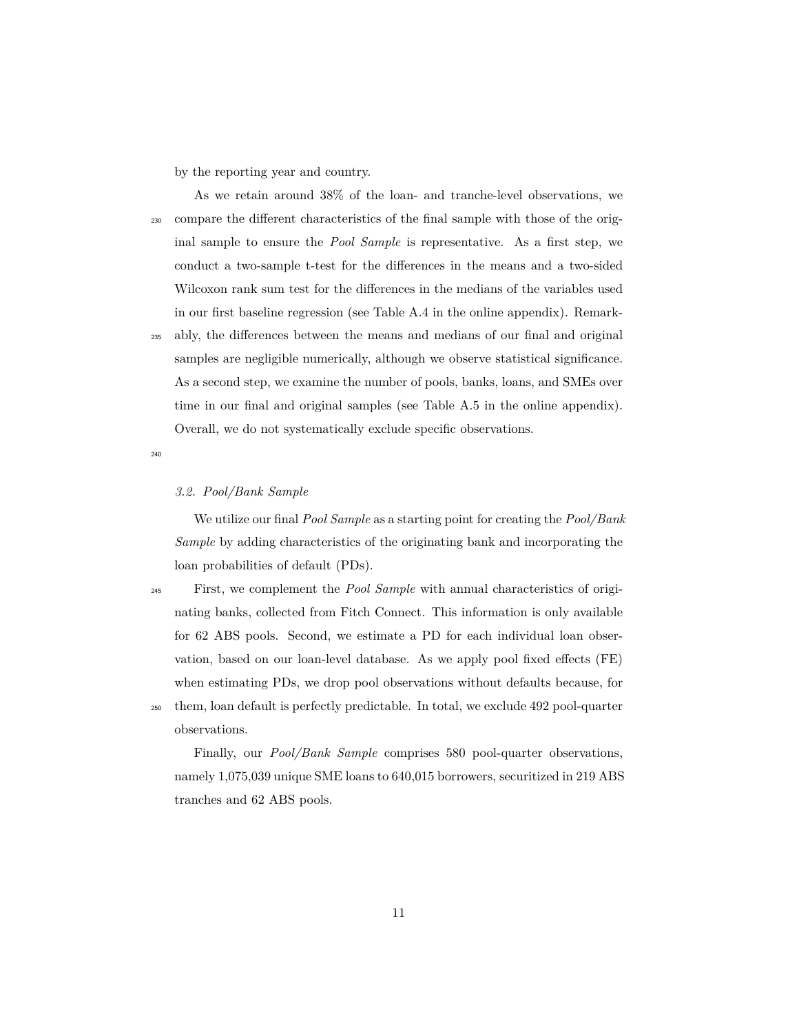by the reporting year and country.

As we retain around 38% of the loan- and tranche-level observations, we <sup>230</sup> compare the different characteristics of the final sample with those of the original sample to ensure the *Pool Sample* is representative. As a first step, we conduct a two-sample t-test for the differences in the means and a two-sided Wilcoxon rank sum test for the differences in the medians of the variables used in our first baseline regression (see Table A.4 in the online appendix). Remark-

<sup>235</sup> ably, the differences between the means and medians of our final and original samples are negligible numerically, although we observe statistical significance. As a second step, we examine the number of pools, banks, loans, and SMEs over time in our final and original samples (see Table A.5 in the online appendix). Overall, we do not systematically exclude specific observations.

240

## *3.2. Pool/Bank Sample*

We utilize our final *Pool Sample* as a starting point for creating the *Pool/Bank Sample* by adding characteristics of the originating bank and incorporating the loan probabilities of default (PDs).

<sup>245</sup> First, we complement the *Pool Sample* with annual characteristics of originating banks, collected from Fitch Connect. This information is only available for 62 ABS pools. Second, we estimate a PD for each individual loan observation, based on our loan-level database. As we apply pool fixed effects (FE) when estimating PDs, we drop pool observations without defaults because, for <sup>250</sup> them, loan default is perfectly predictable. In total, we exclude 492 pool-quarter observations.

Finally, our *Pool/Bank Sample* comprises 580 pool-quarter observations, namely 1,075,039 unique SME loans to 640,015 borrowers, securitized in 219 ABS tranches and 62 ABS pools.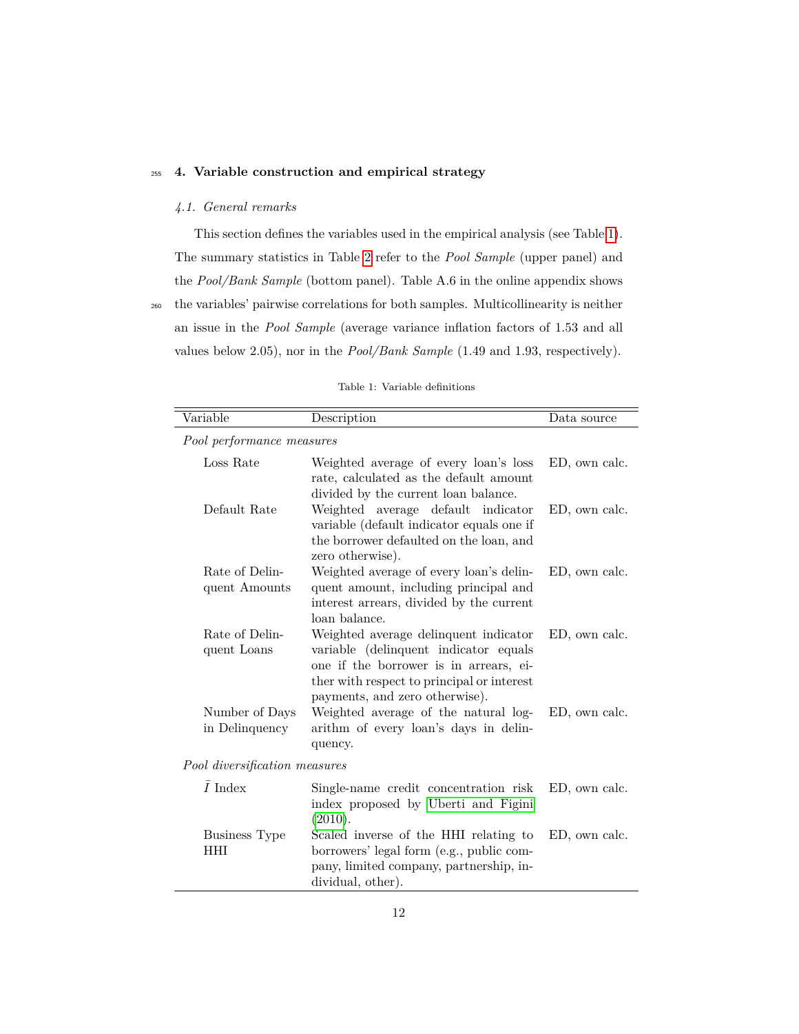## <span id="page-11-0"></span><sup>255</sup> **4. Variable construction and empirical strategy**

## *4.1. General remarks*

 $\overline{a}$ 

This section defines the variables used in the empirical analysis (see Table [1\)](#page-11-1). The summary statistics in Table [2](#page-14-0) refer to the *Pool Sample* (upper panel) and the *Pool/Bank Sample* (bottom panel). Table A.6 in the online appendix shows <sup>260</sup> the variables' pairwise correlations for both samples. Multicollinearity is neither an issue in the *Pool Sample* (average variance inflation factors of 1.53 and all values below 2.05), nor in the *Pool/Bank Sample* (1.49 and 1.93, respectively).

<span id="page-11-1"></span>

| Variable                           | Description                                                                                                                                                                                              | Data source   |
|------------------------------------|----------------------------------------------------------------------------------------------------------------------------------------------------------------------------------------------------------|---------------|
| Pool performance measures          |                                                                                                                                                                                                          |               |
| Loss Rate                          | Weighted average of every loan's loss<br>rate, calculated as the default amount<br>divided by the current loan balance.                                                                                  | ED, own calc. |
| Default Rate                       | Weighted average default indicator<br>variable (default indicator equals one if<br>the borrower defaulted on the loan, and<br>zero otherwise).                                                           | ED, own calc. |
| Rate of Delin-<br>quent Amounts    | Weighted average of every loan's delin-<br>quent amount, including principal and<br>interest arrears, divided by the current<br>loan balance.                                                            | ED, own calc. |
| Rate of Delin-<br>quent Loans      | Weighted average delinquent indicator<br>variable (delinquent indicator equals<br>one if the borrower is in arrears, ei-<br>ther with respect to principal or interest<br>payments, and zero otherwise). | ED, own calc. |
| Number of Days<br>in Delinquency   | Weighted average of the natural log-<br>arithm of every loan's days in delin-<br>quency.                                                                                                                 | ED, own calc. |
| Pool diversification measures      |                                                                                                                                                                                                          |               |
| $\bar{I}$ Index                    | Single-name credit concentration risk<br>index proposed by Uberti and Figini<br>(2010).                                                                                                                  | ED, own calc. |
| <b>Business Type</b><br><b>HHI</b> | Scaled inverse of the HHI relating to<br>borrowers' legal form (e.g., public com-<br>pany, limited company, partnership, in-<br>dividual, other).                                                        | ED, own calc. |

Table 1: Variable definitions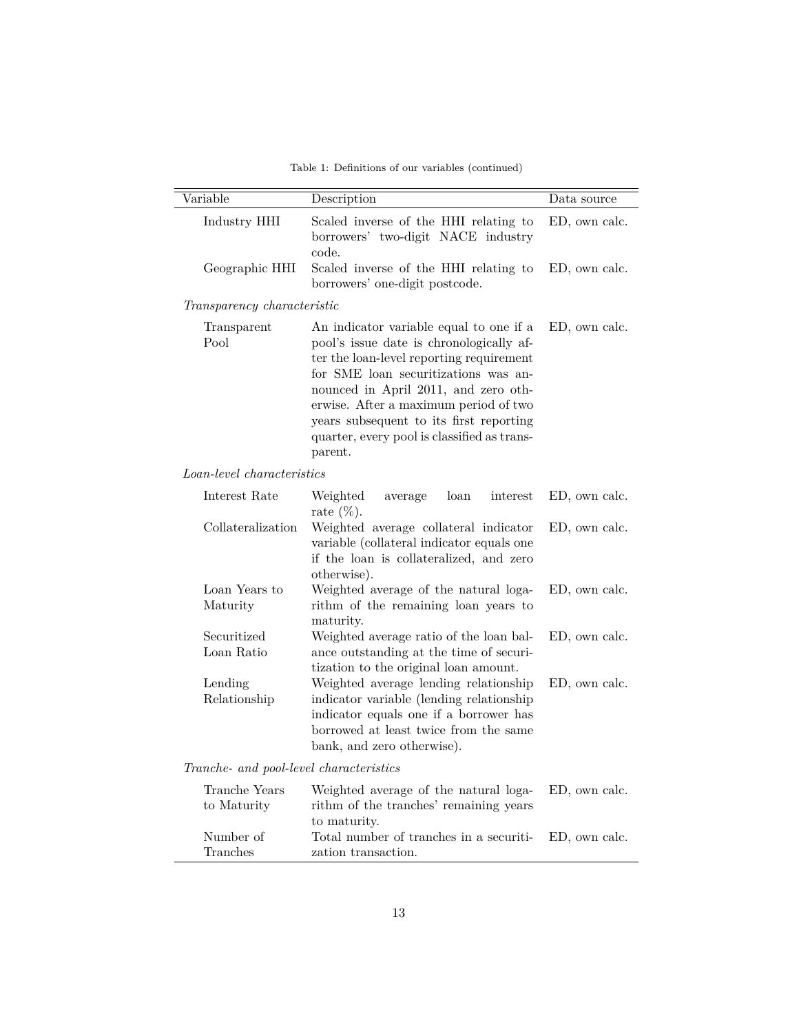Table 1: Definitions of our variables (continued)

| Variable                                | Description                                                                                                                                                                                                                                                                                                                                                   | Data source   |
|-----------------------------------------|---------------------------------------------------------------------------------------------------------------------------------------------------------------------------------------------------------------------------------------------------------------------------------------------------------------------------------------------------------------|---------------|
| Industry HHI                            | Scaled inverse of the HHI relating to<br>borrowers' two-digit NACE industry<br>code.                                                                                                                                                                                                                                                                          | ED, own calc. |
| Geographic HHI                          | Scaled inverse of the HHI relating to<br>borrowers' one-digit postcode.                                                                                                                                                                                                                                                                                       | ED, own calc. |
| Transparency characteristic             |                                                                                                                                                                                                                                                                                                                                                               |               |
| Transparent<br>Pool                     | An indicator variable equal to one if a<br>pool's issue date is chronologically af-<br>ter the loan-level reporting requirement<br>for SME loan securitizations was an-<br>nounced in April 2011, and zero oth-<br>erwise. After a maximum period of two<br>years subsequent to its first reporting<br>quarter, every pool is classified as trans-<br>parent. | ED, own calc. |
| Loan-level characteristics              |                                                                                                                                                                                                                                                                                                                                                               |               |
| Interest Rate                           | Weighted<br>loan<br>interest<br>average<br>rate $(\%)$ .                                                                                                                                                                                                                                                                                                      | ED, own calc. |
| Collateralization                       | Weighted average collateral indicator<br>variable (collateral indicator equals one<br>if the loan is collateralized, and zero<br>otherwise).                                                                                                                                                                                                                  | ED, own calc. |
| Loan Years to<br>Maturity               | Weighted average of the natural loga-<br>rithm of the remaining loan years to<br>maturity.                                                                                                                                                                                                                                                                    | ED, own calc. |
| Securitized<br>Loan Ratio               | Weighted average ratio of the loan bal-<br>ance outstanding at the time of securi-<br>tization to the original loan amount.                                                                                                                                                                                                                                   | ED, own calc. |
| Lending<br>Relationship                 | Weighted average lending relationship<br>indicator variable (lending relationship<br>indicator equals one if a borrower has<br>borrowed at least twice from the same<br>bank, and zero otherwise).                                                                                                                                                            | ED, own calc. |
| Tranche- and pool-level characteristics |                                                                                                                                                                                                                                                                                                                                                               |               |
| Tranche Years<br>to Maturity            | Weighted average of the natural loga-<br>rithm of the tranches' remaining years<br>to maturity.                                                                                                                                                                                                                                                               | ED, own calc. |
| Number of<br>Tranches                   | Total number of tranches in a securiti-<br>zation transaction.                                                                                                                                                                                                                                                                                                | ED, own calc. |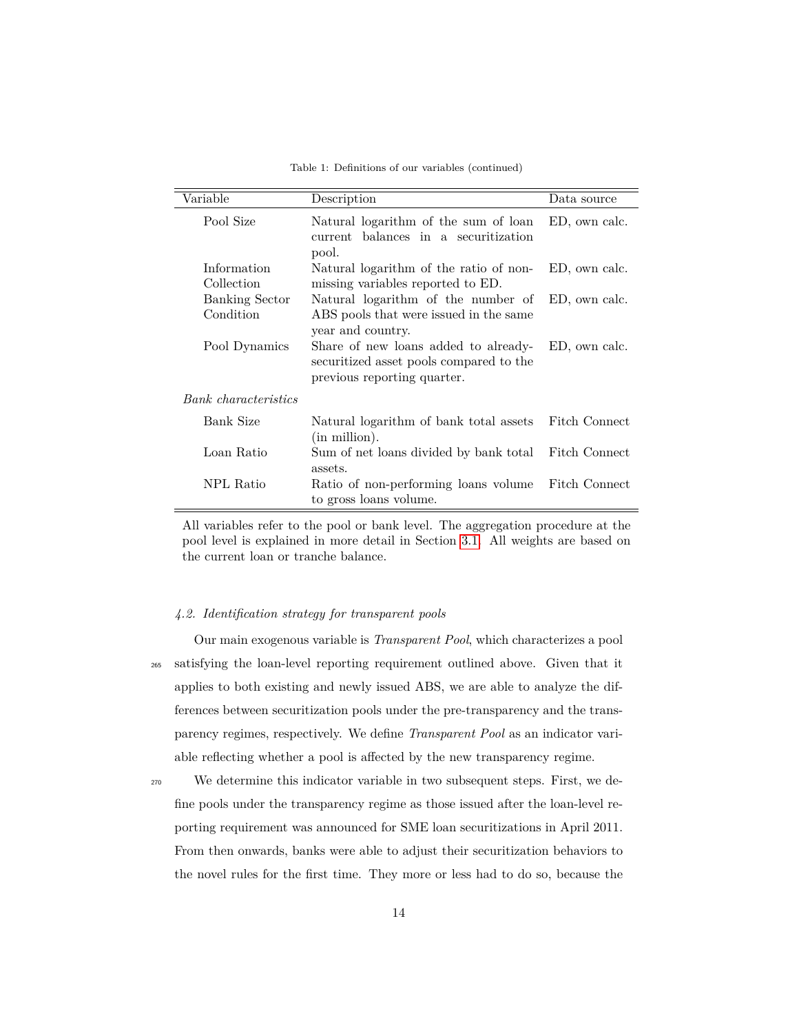| Table 1: Definitions of our variables (continued) |  |  |  |  |
|---------------------------------------------------|--|--|--|--|
|---------------------------------------------------|--|--|--|--|

| Variable                           | Description                                                                                                    | Data source   |
|------------------------------------|----------------------------------------------------------------------------------------------------------------|---------------|
| Pool Size                          | Natural logarithm of the sum of loan<br>current balances in a securitization<br>pool.                          | ED, own calc. |
| Information<br>Collection          | Natural logarithm of the ratio of non-<br>missing variables reported to ED.                                    | ED, own calc. |
| <b>Banking Sector</b><br>Condition | Natural logarithm of the number of<br>ABS pools that were issued in the same<br>year and country.              | ED, own calc. |
| Pool Dynamics                      | Share of new loans added to already-<br>securitized asset pools compared to the<br>previous reporting quarter. | ED, own calc. |
| Bank characteristics               |                                                                                                                |               |
| Bank Size                          | Natural logarithm of bank total assets<br>(in million).                                                        | Fitch Connect |
| Loan Ratio                         | Sum of net loans divided by bank total<br>assets.                                                              | Fitch Connect |
| NPL Ratio                          | Ratio of non-performing loans volume<br>to gross loans volume.                                                 | Fitch Connect |

All variables refer to the pool or bank level. The aggregation procedure at the pool level is explained in more detail in Section [3.1.](#page-8-1) All weights are based on the current loan or tranche balance.

#### <span id="page-13-0"></span>*4.2. Identification strategy for transparent pools*

Our main exogenous variable is *Transparent Pool*, which characterizes a pool <sup>265</sup> satisfying the loan-level reporting requirement outlined above. Given that it applies to both existing and newly issued ABS, we are able to analyze the differences between securitization pools under the pre-transparency and the transparency regimes, respectively. We define *Transparent Pool* as an indicator variable reflecting whether a pool is affected by the new transparency regime.

<sup>270</sup> We determine this indicator variable in two subsequent steps. First, we define pools under the transparency regime as those issued after the loan-level reporting requirement was announced for SME loan securitizations in April 2011. From then onwards, banks were able to adjust their securitization behaviors to the novel rules for the first time. They more or less had to do so, because the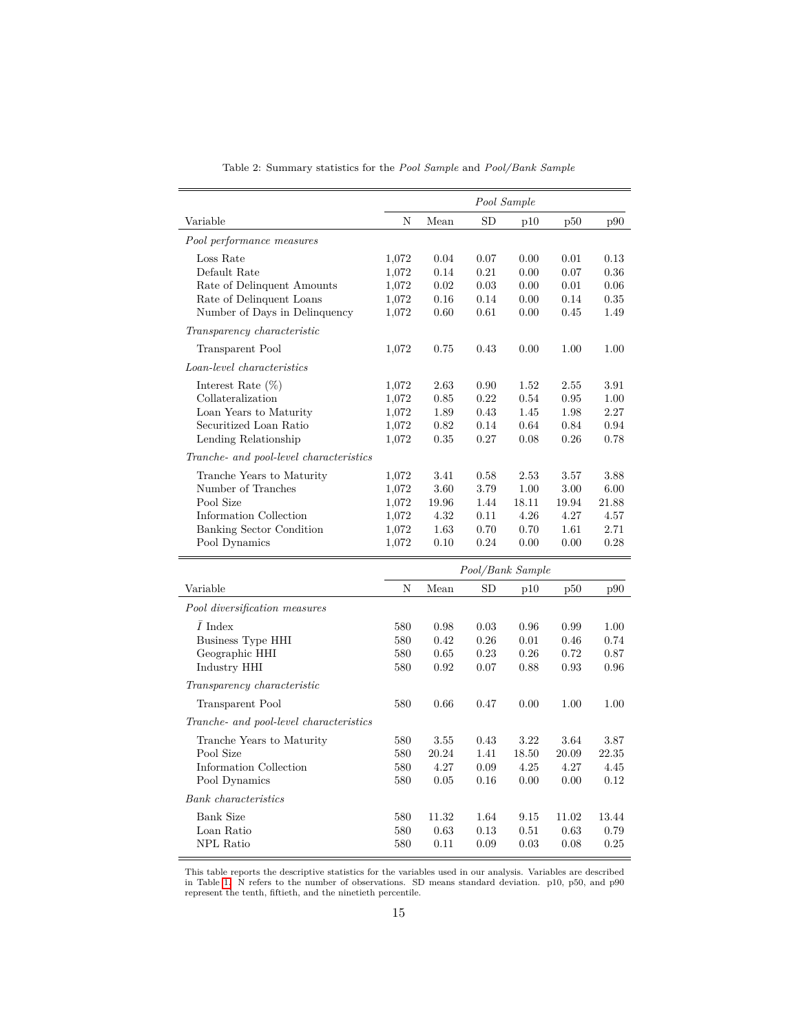<span id="page-14-0"></span>

|                                         |       |           |                  | Pool Sample |       |       |
|-----------------------------------------|-------|-----------|------------------|-------------|-------|-------|
| Variable                                | N     | Mean      | SD               | p10         | p50   | p90   |
| Pool performance measures               |       |           |                  |             |       |       |
| Loss Rate                               | 1,072 | 0.04      | 0.07             | 0.00        | 0.01  | 0.13  |
| Default Rate                            | 1,072 | 0.14      | 0.21             | 0.00        | 0.07  | 0.36  |
| Rate of Delinquent Amounts              | 1,072 | 0.02      | 0.03             | 0.00        | 0.01  | 0.06  |
| Rate of Delinquent Loans                | 1,072 | 0.16      | 0.14             | 0.00        | 0.14  | 0.35  |
| Number of Days in Delinquency           | 1,072 | 0.60      | 0.61             | 0.00        | 0.45  | 1.49  |
| Transparency characteristic             |       |           |                  |             |       |       |
| <b>Transparent Pool</b>                 | 1,072 | 0.75      | 0.43             | 0.00        | 1.00  | 1.00  |
| Loan-level characteristics              |       |           |                  |             |       |       |
| Interest Rate $(\%)$                    | 1,072 | 2.63      | 0.90             | 1.52        | 2.55  | 3.91  |
| Collateralization                       | 1,072 | 0.85      | 0.22             | 0.54        | 0.95  | 1.00  |
| Loan Years to Maturity                  | 1,072 | 1.89      | 0.43             | 1.45        | 1.98  | 2.27  |
| Securitized Loan Ratio                  | 1,072 | 0.82      | 0.14             | 0.64        | 0.84  | 0.94  |
| Lending Relationship                    | 1,072 | 0.35      | 0.27             | 0.08        | 0.26  | 0.78  |
| Tranche- and pool-level characteristics |       |           |                  |             |       |       |
| Tranche Years to Maturity               | 1,072 | 3.41      | 0.58             | 2.53        | 3.57  | 3.88  |
| Number of Tranches                      | 1,072 | 3.60      | 3.79             | 1.00        | 3.00  | 6.00  |
| Pool Size                               | 1,072 | $19.96\,$ | 1.44             | 18.11       | 19.94 | 21.88 |
| Information Collection                  | 1,072 | 4.32      | 0.11             | 4.26        | 4.27  | 4.57  |
| Banking Sector Condition                | 1,072 | 1.63      | 0.70             | 0.70        | 1.61  | 2.71  |
| Pool Dynamics                           | 1,072 | 0.10      | 0.24             | 0.00        | 0.00  | 0.28  |
|                                         |       |           | Pool/Bank Sample |             |       |       |
| Variable                                | N     | Mean      | SD               | p10         | p50   | p90   |
| Pool diversification measures           |       |           |                  |             |       |       |
| $I$ Index                               | 580   | 0.98      | 0.03             | 0.96        | 0.99  | 1.00  |
| <b>Business Type HHI</b>                | 580   | 0.42      | 0.26             | 0.01        | 0.46  | 0.74  |
| Geographic HHI                          | 580   | 0.65      | 0.23             | 0.26        | 0.72  | 0.87  |
| Industry HHI                            | 580   | 0.92      | 0.07             | 0.88        | 0.93  | 0.96  |
| Transparency characteristic             |       |           |                  |             |       |       |
| <b>Transparent Pool</b>                 | 580   | 0.66      | 0.47             | 0.00        | 1.00  | 1.00  |
| Tranche- and pool-level characteristics |       |           |                  |             |       |       |
| Tranche Years to Maturity               | 580   | 3.55      | 0.43             | 3.22        | 3.64  | 3.87  |
| Pool Size                               | 580   | 20.24     | 1.41             | 18.50       | 20.09 | 22.35 |
| Information Collection                  | 580   | 4.27      | 0.09             | 4.25        | 4.27  | 4.45  |
| Pool Dynamics                           | 580   | 0.05      | 0.16             | 0.00        | 0.00  | 0.12  |
| <b>Bank</b> characteristics             |       |           |                  |             |       |       |
| <b>Bank Size</b>                        | 580   | 11.32     | 1.64             | 9.15        | 11.02 | 13.44 |
| Loan Ratio                              | 580   | 0.63      | 0.13             | 0.51        | 0.63  | 0.79  |
| <b>NPL</b> Ratio                        | 580   | 0.11      | 0.09             | 0.03        | 0.08  | 0.25  |

Table 2: Summary statistics for the *Pool Sample* and *Pool/Bank Sample*

This table reports the descriptive statistics for the variables used in our analysis. Variables are described in Table [1.](#page-11-1) N refers to the number of observations. SD means standard deviation. p10, p50, and p90 represent the tenth, fiftieth, and the ninetieth percentile.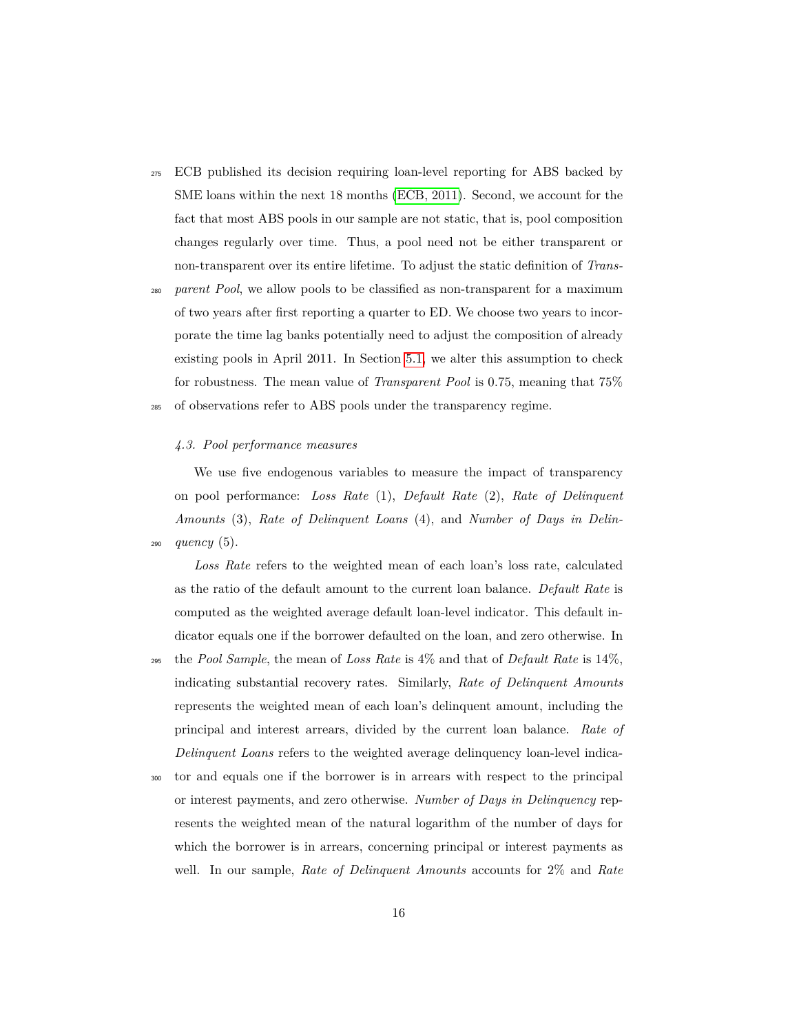- <sup>275</sup> ECB published its decision requiring loan-level reporting for ABS backed by SME loans within the next 18 months [\(ECB, 2011\)](#page-35-7). Second, we account for the fact that most ABS pools in our sample are not static, that is, pool composition changes regularly over time. Thus, a pool need not be either transparent or non-transparent over its entire lifetime. To adjust the static definition of *Trans-*
- <sup>280</sup> *parent Pool*, we allow pools to be classified as non-transparent for a maximum of two years after first reporting a quarter to ED. We choose two years to incorporate the time lag banks potentially need to adjust the composition of already existing pools in April 2011. In Section [5.1,](#page-19-1) we alter this assumption to check for robustness. The mean value of *Transparent Pool* is 0.75, meaning that 75%

<sup>285</sup> of observations refer to ABS pools under the transparency regime.

## *4.3. Pool performance measures*

We use five endogenous variables to measure the impact of transparency on pool performance: *Loss Rate* (1), *Default Rate* (2), *Rate of Delinquent Amounts* (3), *Rate of Delinquent Loans* (4), and *Number of Days in Delin-*<sup>290</sup> *quency* (5).

*Loss Rate* refers to the weighted mean of each loan's loss rate, calculated as the ratio of the default amount to the current loan balance. *Default Rate* is computed as the weighted average default loan-level indicator. This default indicator equals one if the borrower defaulted on the loan, and zero otherwise. In

- <sup>295</sup> the *Pool Sample*, the mean of *Loss Rate* is 4% and that of *Default Rate* is 14%, indicating substantial recovery rates. Similarly, *Rate of Delinquent Amounts* represents the weighted mean of each loan's delinquent amount, including the principal and interest arrears, divided by the current loan balance. *Rate of Delinquent Loans* refers to the weighted average delinquency loan-level indica-
- <sup>300</sup> tor and equals one if the borrower is in arrears with respect to the principal or interest payments, and zero otherwise. *Number of Days in Delinquency* represents the weighted mean of the natural logarithm of the number of days for which the borrower is in arrears, concerning principal or interest payments as well. In our sample, *Rate of Delinquent Amounts* accounts for 2% and *Rate*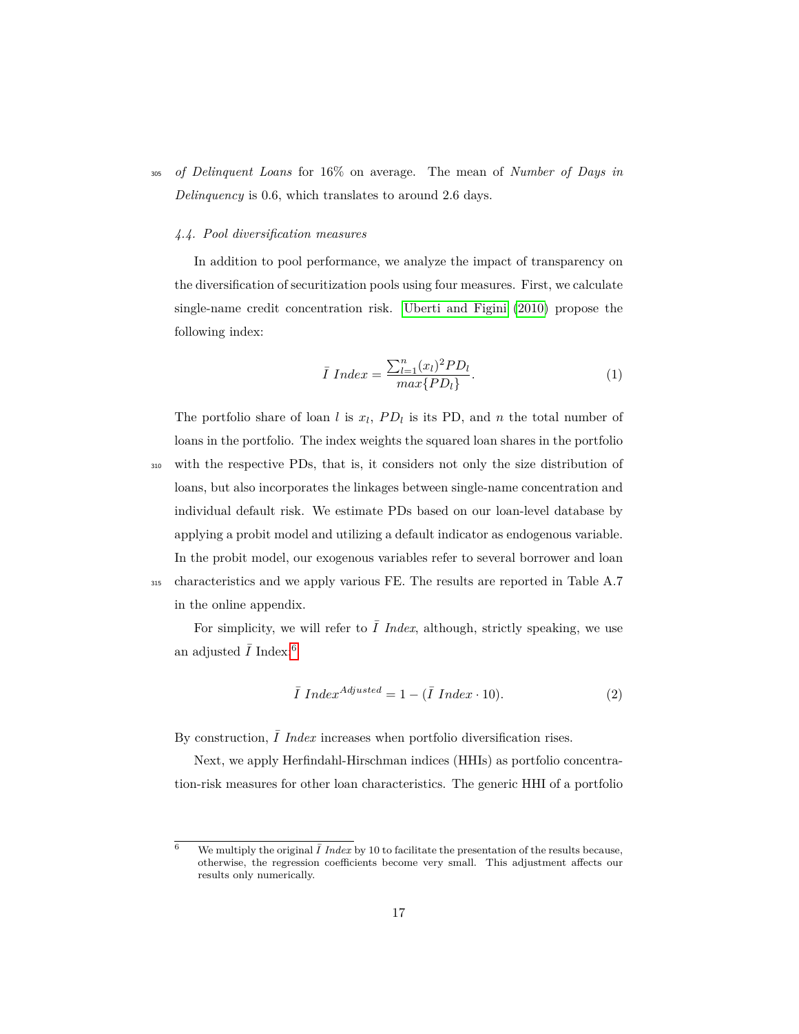<sup>305</sup> *of Delinquent Loans* for 16% on average. The mean of *Number of Days in Delinquency* is 0.6, which translates to around 2.6 days.

#### *4.4. Pool diversification measures*

In addition to pool performance, we analyze the impact of transparency on the diversification of securitization pools using four measures. First, we calculate single-name credit concentration risk. [Uberti and Figini](#page-37-8) [\(2010\)](#page-37-8) propose the following index:

$$
\bar{I} Index = \frac{\sum_{l=1}^{n} (x_l)^2 PD_l}{max\{PD_l\}}.
$$
\n(1)

The portfolio share of loan *l* is  $x_l$ ,  $PD_l$  is its PD, and *n* the total number of loans in the portfolio. The index weights the squared loan shares in the portfolio

<sup>310</sup> with the respective PDs, that is, it considers not only the size distribution of loans, but also incorporates the linkages between single-name concentration and individual default risk. We estimate PDs based on our loan-level database by applying a probit model and utilizing a default indicator as endogenous variable. In the probit model, our exogenous variables refer to several borrower and loan <sup>315</sup> characteristics and we apply various FE. The results are reported in Table A.7 in the online appendix.

For simplicity, we will refer to  $\overline{I}$  *Index*, although, strictly speaking, we use an adjusted  $\bar{I}$  Index:<sup>[6](#page-0-0)</sup>

$$
\bar{I} Index^{Adjusted} = 1 - (\bar{I} Index \cdot 10). \tag{2}
$$

By construction,  $\overline{I}$  *Index* increases when portfolio diversification rises.

Next, we apply Herfindahl-Hirschman indices (HHIs) as portfolio concentration-risk measures for other loan characteristics. The generic HHI of a portfolio

<sup>&</sup>lt;sup>6</sup> We multiply the original  $\overline{I}$  *Index* by 10 to facilitate the presentation of the results because, otherwise, the regression coefficients become very small. This adjustment affects our results only numerically.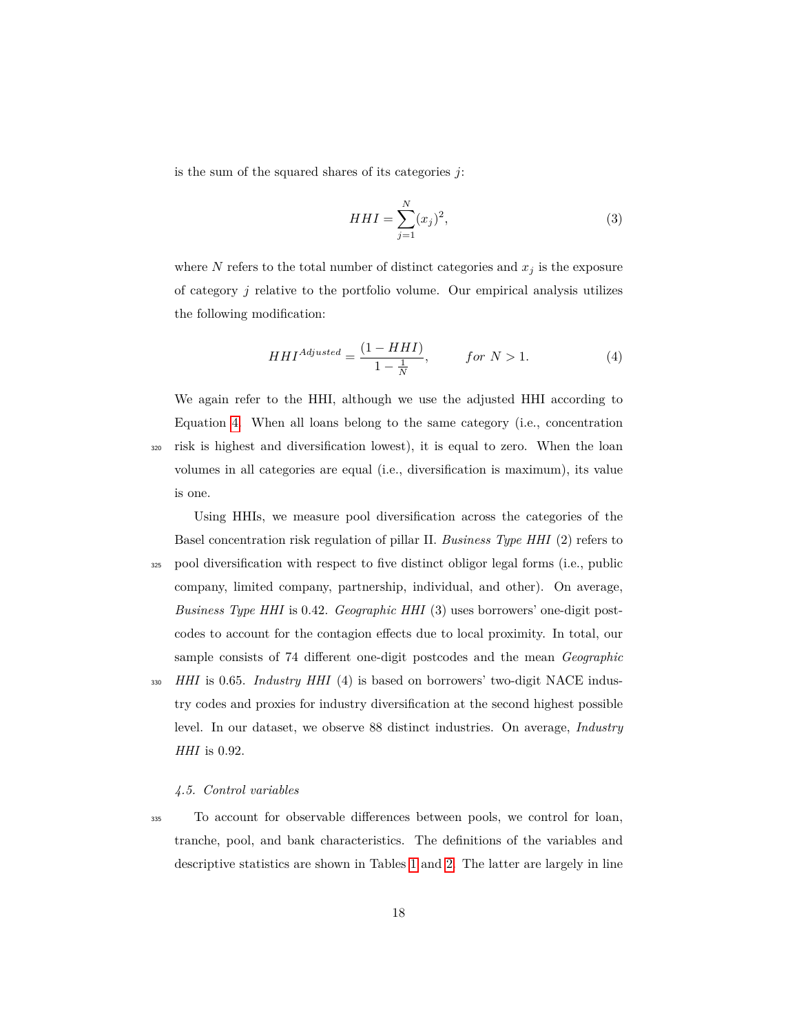is the sum of the squared shares of its categories *j*:

<span id="page-17-0"></span>
$$
HHI = \sum_{j=1}^{N} (x_j)^2,
$$
\n(3)

where  $N$  refers to the total number of distinct categories and  $x_j$  is the exposure of category *j* relative to the portfolio volume. Our empirical analysis utilizes the following modification:

$$
HHI^{Adjusted} = \frac{(1 - HHI)}{1 - \frac{1}{N}}, \qquad \text{for } N > 1. \tag{4}
$$

We again refer to the HHI, although we use the adjusted HHI according to Equation [4.](#page-17-0) When all loans belong to the same category (i.e., concentration <sup>320</sup> risk is highest and diversification lowest), it is equal to zero. When the loan volumes in all categories are equal (i.e., diversification is maximum), its value is one.

Using HHIs, we measure pool diversification across the categories of the Basel concentration risk regulation of pillar II. *Business Type HHI* (2) refers to <sup>325</sup> pool diversification with respect to five distinct obligor legal forms (i.e., public company, limited company, partnership, individual, and other). On average, *Business Type HHI* is 0.42. *Geographic HHI* (3) uses borrowers' one-digit postcodes to account for the contagion effects due to local proximity. In total, our sample consists of 74 different one-digit postcodes and the mean *Geographic* <sup>330</sup> *HHI* is 0.65. *Industry HHI* (4) is based on borrowers' two-digit NACE industry codes and proxies for industry diversification at the second highest possible level. In our dataset, we observe 88 distinct industries. On average, *Industry HHI* is 0.92.

#### *4.5. Control variables*

<sup>335</sup> To account for observable differences between pools, we control for loan, tranche, pool, and bank characteristics. The definitions of the variables and descriptive statistics are shown in Tables [1](#page-11-1) and [2.](#page-14-0) The latter are largely in line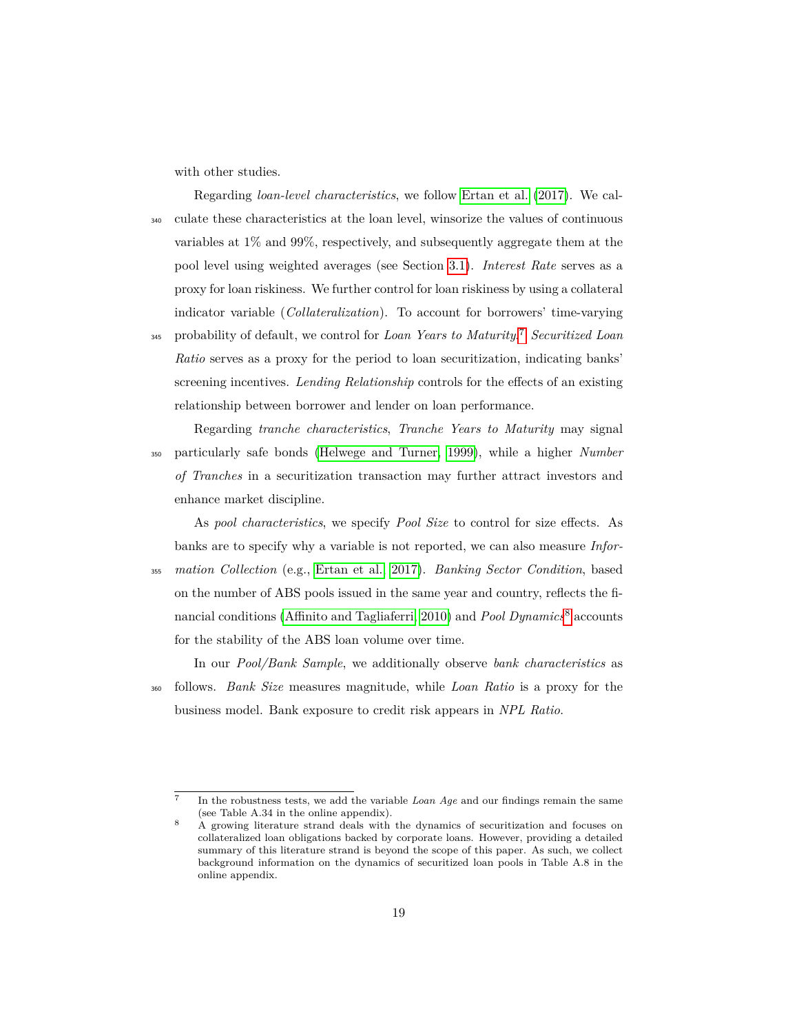with other studies.

Regarding *loan-level characteristics*, we follow [Ertan et al.](#page-35-1) [\(2017\)](#page-35-1). We cal-<sup>340</sup> culate these characteristics at the loan level, winsorize the values of continuous variables at 1% and 99%, respectively, and subsequently aggregate them at the pool level using weighted averages (see Section [3.1\)](#page-8-1). *Interest Rate* serves as a proxy for loan riskiness. We further control for loan riskiness by using a collateral indicator variable (*Collateralization*). To account for borrowers' time-varying

probability of default, we control for *Loan Years to Maturity*. [7](#page-0-0) <sup>345</sup> *Securitized Loan Ratio* serves as a proxy for the period to loan securitization, indicating banks' screening incentives. *Lending Relationship* controls for the effects of an existing relationship between borrower and lender on loan performance.

Regarding *tranche characteristics*, *Tranche Years to Maturity* may signal <sup>350</sup> particularly safe bonds [\(Helwege and Turner, 1999\)](#page-36-8), while a higher *Number of Tranches* in a securitization transaction may further attract investors and enhance market discipline.

As *pool characteristics*, we specify *Pool Size* to control for size effects. As banks are to specify why a variable is not reported, we can also measure *Infor-*<sup>355</sup> *mation Collection* (e.g., [Ertan et al., 2017\)](#page-35-1). *Banking Sector Condition*, based on the number of ABS pools issued in the same year and country, reflects the financial conditions [\(Affinito and Tagliaferri, 2010\)](#page-35-9) and *Pool Dynamics*[8](#page-0-0) accounts for the stability of the ABS loan volume over time.

In our *Pool/Bank Sample*, we additionally observe *bank characteristics* as <sup>360</sup> follows. *Bank Size* measures magnitude, while *Loan Ratio* is a proxy for the business model. Bank exposure to credit risk appears in *NPL Ratio*.

<sup>7</sup> In the robustness tests, we add the variable *Loan Age* and our findings remain the same (see Table A.34 in the online appendix).

<sup>8</sup> A growing literature strand deals with the dynamics of securitization and focuses on collateralized loan obligations backed by corporate loans. However, providing a detailed summary of this literature strand is beyond the scope of this paper. As such, we collect background information on the dynamics of securitized loan pools in Table A.8 in the online appendix.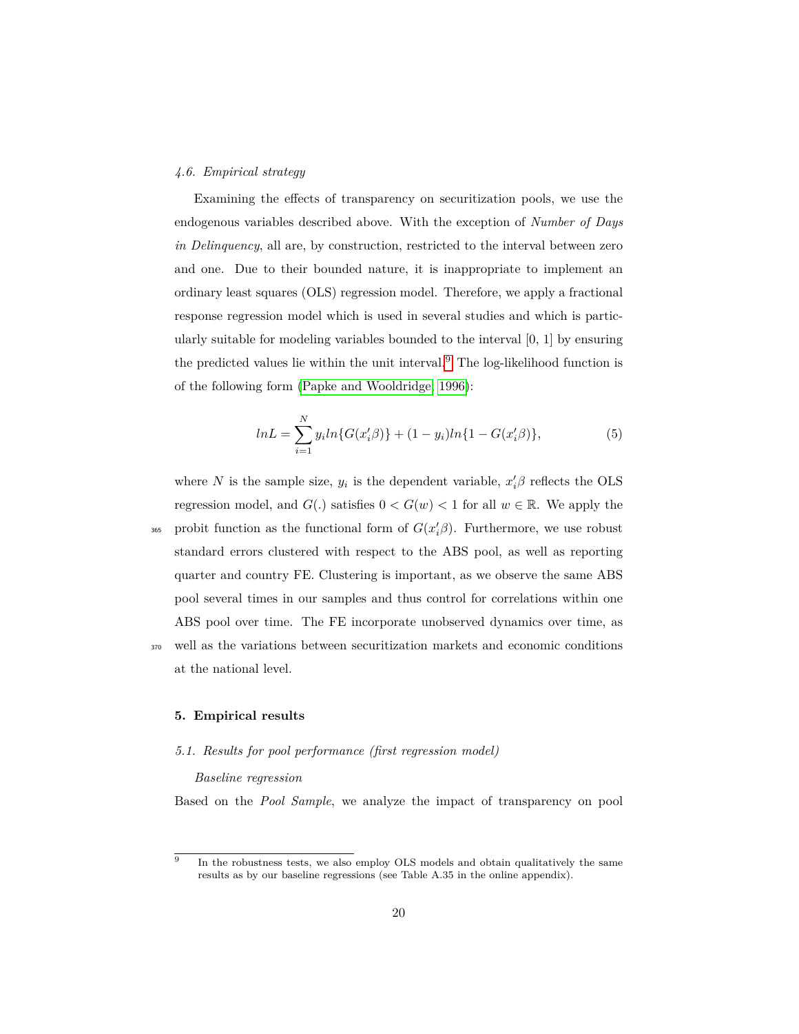## *4.6. Empirical strategy*

Examining the effects of transparency on securitization pools, we use the endogenous variables described above. With the exception of *Number of Days in Delinquency*, all are, by construction, restricted to the interval between zero and one. Due to their bounded nature, it is inappropriate to implement an ordinary least squares (OLS) regression model. Therefore, we apply a fractional response regression model which is used in several studies and which is particularly suitable for modeling variables bounded to the interval  $[0, 1]$  by ensuring the predicted values lie within the unit interval.[9](#page-0-0) The log-likelihood function is of the following form [\(Papke and Wooldridge, 1996\)](#page-37-9):

$$
lnL = \sum_{i=1}^{N} y_i ln\{G(x_i' \beta)\} + (1 - y_i)ln\{1 - G(x_i' \beta)\},
$$
\n(5)

where *N* is the sample size,  $y_i$  is the dependent variable,  $x_i' \beta$  reflects the OLS regression model, and  $G(.)$  satisfies  $0 < G(w) < 1$  for all  $w \in \mathbb{R}$ . We apply the  $\frac{1}{265}$  probit function as the functional form of  $G(x'_i\beta)$ . Furthermore, we use robust standard errors clustered with respect to the ABS pool, as well as reporting quarter and country FE. Clustering is important, as we observe the same ABS pool several times in our samples and thus control for correlations within one ABS pool over time. The FE incorporate unobserved dynamics over time, as <sup>370</sup> well as the variations between securitization markets and economic conditions at the national level.

#### <span id="page-19-0"></span>**5. Empirical results**

#### <span id="page-19-1"></span>*5.1. Results for pool performance (first regression model)*

## *Baseline regression*

Based on the *Pool Sample*, we analyze the impact of transparency on pool

<sup>9</sup> In the robustness tests, we also employ OLS models and obtain qualitatively the same results as by our baseline regressions (see Table A.35 in the online appendix).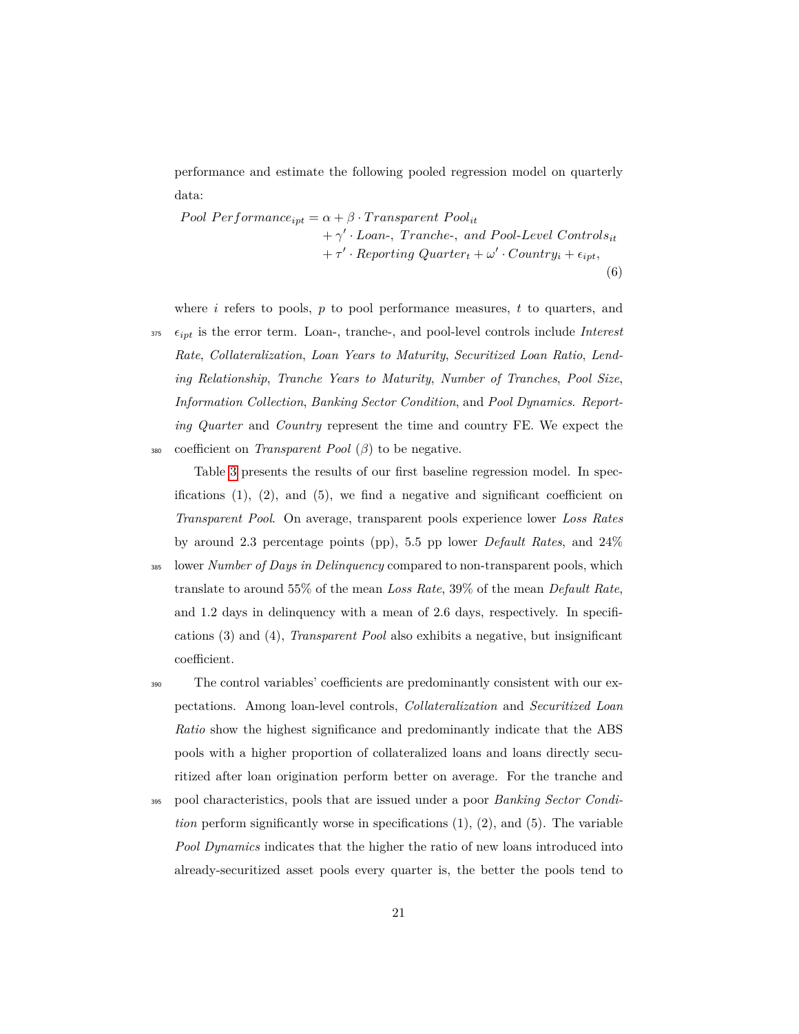performance and estimate the following pooled regression model on quarterly data:

*Pool Performance*<sub>*ipt*</sub> =  $\alpha + \beta \cdot Transparent$  *Pool<sub>it</sub>* + *γ* 0 · *Loan*-*, T ranche*-*, and P ool*-*Level Controlsit*  $+ \tau' \cdot Reporting\;Quarter_t + \omega' \cdot Country_t + \epsilon_{ipt},$ (6)

where *i* refers to pools, *p* to pool performance measures, *t* to quarters, and  $\epsilon_{ipt}$  is the error term. Loan-, tranche-, and pool-level controls include *Interest* 

*Rate*, *Collateralization*, *Loan Years to Maturity*, *Securitized Loan Ratio*, *Lending Relationship*, *Tranche Years to Maturity*, *Number of Tranches*, *Pool Size*, *Information Collection*, *Banking Sector Condition*, and *Pool Dynamics*. *Reporting Quarter* and *Country* represent the time and country FE. We expect the <sup>380</sup> coefficient on *Transparent Pool* (*β*) to be negative.

Table [3](#page-21-0) presents the results of our first baseline regression model. In specifications  $(1)$ ,  $(2)$ , and  $(5)$ , we find a negative and significant coefficient on *Transparent Pool*. On average, transparent pools experience lower *Loss Rates* by around 2.3 percentage points (pp), 5.5 pp lower *Default Rates*, and 24%

<sup>385</sup> lower *Number of Days in Delinquency* compared to non-transparent pools, which translate to around 55% of the mean *Loss Rate*, 39% of the mean *Default Rate*, and 1.2 days in delinquency with a mean of 2.6 days, respectively. In specifications (3) and (4), *Transparent Pool* also exhibits a negative, but insignificant coefficient.

<sup>390</sup> The control variables' coefficients are predominantly consistent with our expectations. Among loan-level controls, *Collateralization* and *Securitized Loan Ratio* show the highest significance and predominantly indicate that the ABS pools with a higher proportion of collateralized loans and loans directly securitized after loan origination perform better on average. For the tranche and

<sup>395</sup> pool characteristics, pools that are issued under a poor *Banking Sector Condition* perform significantly worse in specifications  $(1), (2),$  and  $(5)$ . The variable *Pool Dynamics* indicates that the higher the ratio of new loans introduced into already-securitized asset pools every quarter is, the better the pools tend to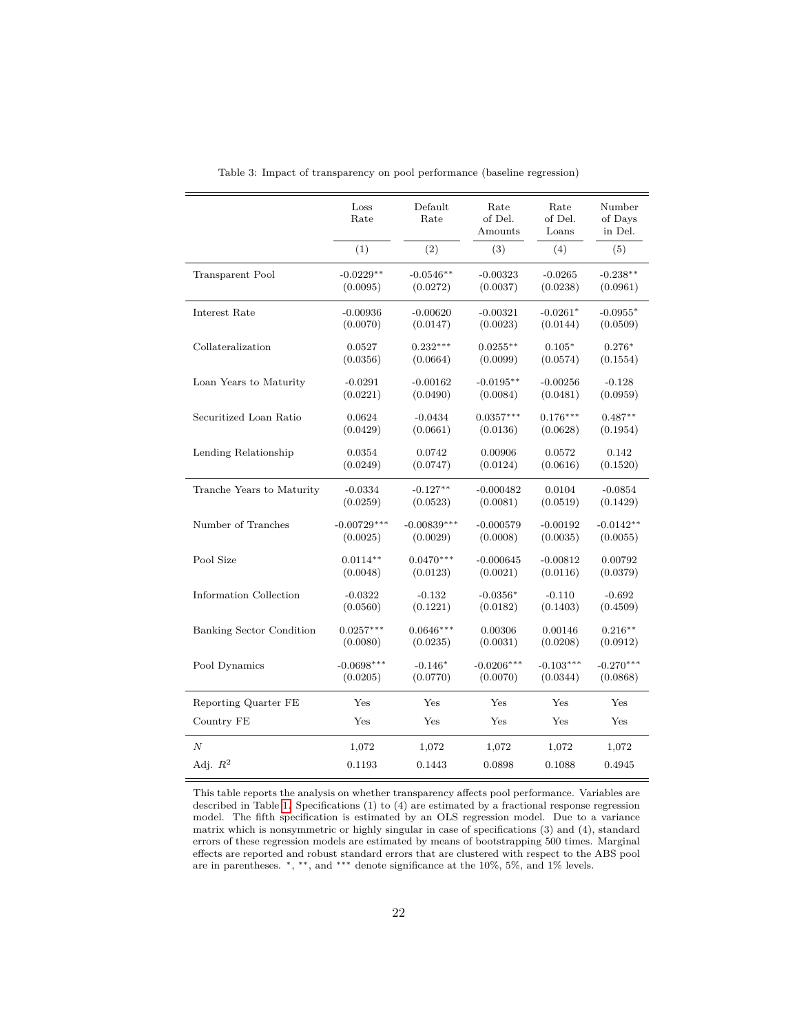<span id="page-21-0"></span>

|                           | Loss<br>Rate  | Default<br>Rate | Rate<br>of Del.<br>Amounts | Rate<br>of Del.<br>Loans | Number<br>of Davs<br>in Del. |
|---------------------------|---------------|-----------------|----------------------------|--------------------------|------------------------------|
|                           | (1)           | (2)             | (3)                        | (4)                      | (5)                          |
| Transparent Pool          | $-0.0229**$   | $-0.0546**$     | $-0.00323$                 | $-0.0265$                | $-0.238**$                   |
|                           | (0.0095)      | (0.0272)        | (0.0037)                   | (0.0238)                 | (0.0961)                     |
| Interest Rate             | $-0.00936$    | $-0.00620$      | $-0.00321$                 | $-0.0261*$               | $-0.0955*$                   |
|                           | (0.0070)      | (0.0147)        | (0.0023)                   | (0.0144)                 | (0.0509)                     |
| Collateralization         | 0.0527        | $0.232***$      | $0.0255**$                 | $0.105*$                 | $0.276*$                     |
|                           | (0.0356)      | (0.0664)        | (0.0099)                   | (0.0574)                 | (0.1554)                     |
| Loan Years to Maturity    | $-0.0291$     | $-0.00162$      | $-0.0195**$                | $-0.00256$               | $-0.128$                     |
|                           | (0.0221)      | (0.0490)        | (0.0084)                   | (0.0481)                 | (0.0959)                     |
| Securitized Loan Ratio    | 0.0624        | $-0.0434$       | $0.0357***$                | $0.176***$               | $0.487**$                    |
|                           | (0.0429)      | (0.0661)        | (0.0136)                   | (0.0628)                 | (0.1954)                     |
| Lending Relationship      | 0.0354        | 0.0742          | 0.00906                    | 0.0572                   | 0.142                        |
|                           | (0.0249)      | (0.0747)        | (0.0124)                   | (0.0616)                 | (0.1520)                     |
| Tranche Years to Maturity | $-0.0334$     | $-0.127**$      | $-0.000482$                | 0.0104                   | $-0.0854$                    |
|                           | (0.0259)      | (0.0523)        | (0.0081)                   | (0.0519)                 | (0.1429)                     |
| Number of Tranches        | $-0.00729***$ | $-0.00839***$   | $-0.000579$                | $-0.00192$               | $-0.0142**$                  |
|                           | (0.0025)      | (0.0029)        | (0.0008)                   | (0.0035)                 | (0.0055)                     |
| Pool Size                 | $0.0114**$    | $0.0470***$     | $-0.000645$                | $-0.00812$               | 0.00792                      |
|                           | (0.0048)      | (0.0123)        | (0.0021)                   | (0.0116)                 | (0.0379)                     |
| Information Collection    | $-0.0322$     | $-0.132$        | $-0.0356*$                 | $-0.110$                 | $-0.692$                     |
|                           | (0.0560)      | (0.1221)        | (0.0182)                   | (0.1403)                 | (0.4509)                     |
| Banking Sector Condition  | $0.0257***$   | $0.0646***$     | 0.00306                    | 0.00146                  | $0.216**$                    |
|                           | (0.0080)      | (0.0235)        | (0.0031)                   | (0.0208)                 | (0.0912)                     |
| Pool Dynamics             | $-0.0698***$  | $-0.146*$       | $-0.0206***$               | $-0.103***$              | $-0.270***$                  |
|                           | (0.0205)      | (0.0770)        | (0.0070)                   | (0.0344)                 | (0.0868)                     |
| Reporting Quarter FE      | Yes           | Yes             | Yes                        | Yes                      | Yes                          |
| Country FE                | Yes           | Yes             | Yes                        | Yes                      | Yes                          |
| $\boldsymbol{N}$          | 1,072         | 1,072           | 1,072                      | 1,072                    | 1,072                        |
| Adj. $R^2$                | 0.1193        | 0.1443          | 0.0898                     | 0.1088                   | 0.4945                       |

Table 3: Impact of transparency on pool performance (baseline regression)

This table reports the analysis on whether transparency affects pool performance. Variables are described in Table [1.](#page-11-1) Specifications (1) to (4) are estimated by a fractional response regression model. The fifth specification is estimated by an OLS regression model. Due to a variance matrix which is nonsymmetric or highly singular in case of specifications (3) and (4), standard errors of these regression models are estimated by means of bootstrapping 500 times. Marginal effects are reported and robust standard errors that are clustered with respect to the ABS pool are in parentheses. <sup>∗</sup>, ∗∗, and ∗∗∗ denote significance at the 10%, 5%, and 1% levels.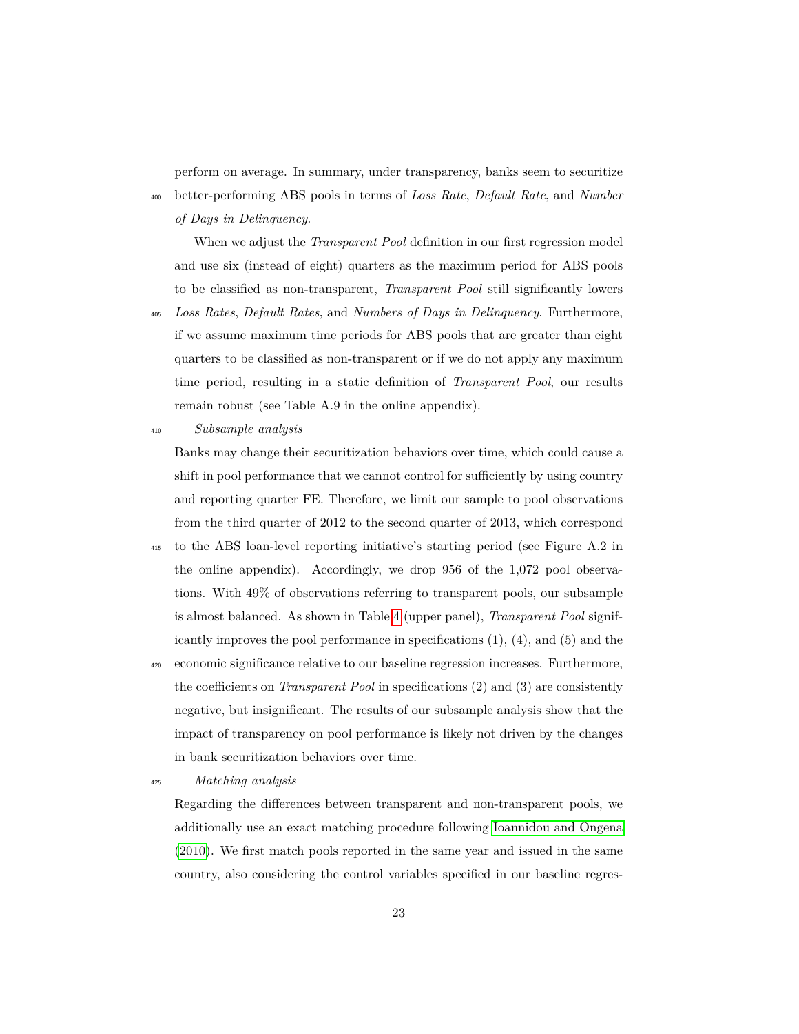perform on average. In summary, under transparency, banks seem to securitize <sup>400</sup> better-performing ABS pools in terms of *Loss Rate*, *Default Rate*, and *Number of Days in Delinquency*.

When we adjust the *Transparent Pool* definition in our first regression model and use six (instead of eight) quarters as the maximum period for ABS pools to be classified as non-transparent, *Transparent Pool* still significantly lowers

- <sup>405</sup> *Loss Rates*, *Default Rates*, and *Numbers of Days in Delinquency*. Furthermore, if we assume maximum time periods for ABS pools that are greater than eight quarters to be classified as non-transparent or if we do not apply any maximum time period, resulting in a static definition of *Transparent Pool*, our results remain robust (see Table A.9 in the online appendix).
- <sup>410</sup> *Subsample analysis*

Banks may change their securitization behaviors over time, which could cause a shift in pool performance that we cannot control for sufficiently by using country and reporting quarter FE. Therefore, we limit our sample to pool observations from the third quarter of 2012 to the second quarter of 2013, which correspond

- <sup>415</sup> to the ABS loan-level reporting initiative's starting period (see Figure A.2 in the online appendix). Accordingly, we drop 956 of the 1,072 pool observations. With 49% of observations referring to transparent pools, our subsample is almost balanced. As shown in Table [4](#page-23-0) (upper panel), *Transparent Pool* significantly improves the pool performance in specifications  $(1)$ ,  $(4)$ , and  $(5)$  and the
- <sup>420</sup> economic significance relative to our baseline regression increases. Furthermore, the coefficients on *Transparent Pool* in specifications (2) and (3) are consistently negative, but insignificant. The results of our subsample analysis show that the impact of transparency on pool performance is likely not driven by the changes in bank securitization behaviors over time.

<sup>425</sup> *Matching analysis*

Regarding the differences between transparent and non-transparent pools, we additionally use an exact matching procedure following [Ioannidou and Ongena](#page-37-10) [\(2010\)](#page-37-10). We first match pools reported in the same year and issued in the same country, also considering the control variables specified in our baseline regres-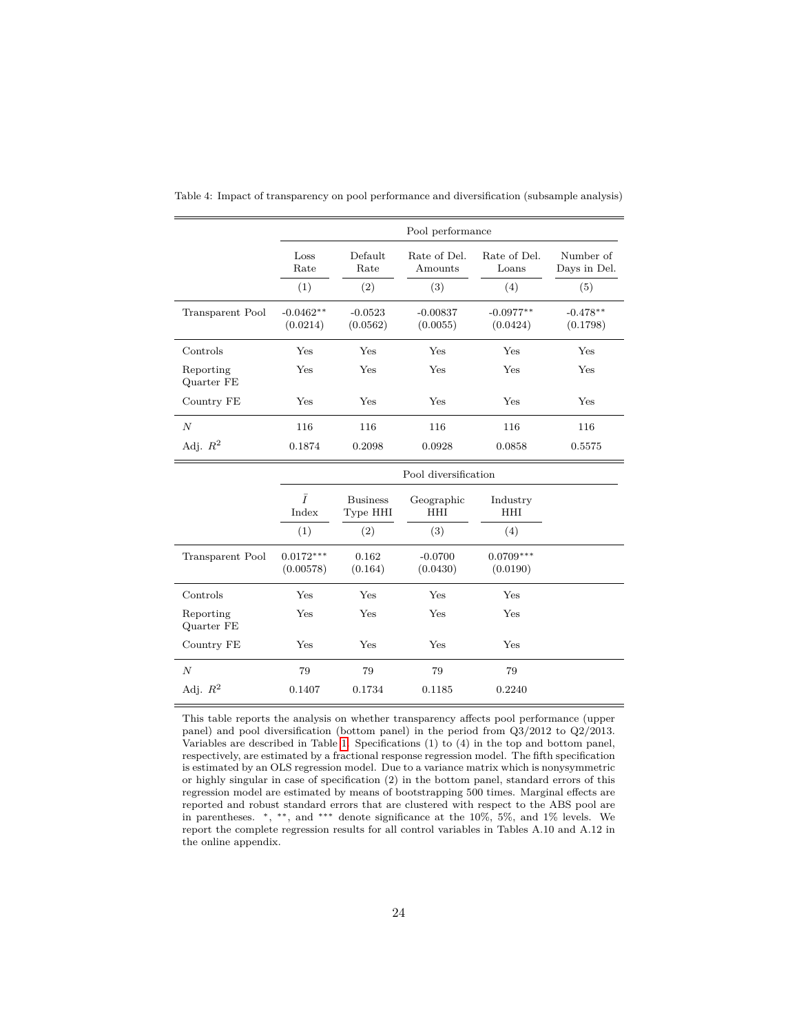|                         |                         | Pool performance      |                         |                         |                           |  |  |  |
|-------------------------|-------------------------|-----------------------|-------------------------|-------------------------|---------------------------|--|--|--|
|                         | Loss<br>Rate            | Default<br>Rate       | Rate of Del.<br>Amounts | Rate of Del.<br>Loans   | Number of<br>Days in Del. |  |  |  |
|                         | (1)                     | (2)                   | (3)                     | (4)                     | (5)                       |  |  |  |
| Transparent Pool        | $-0.0462**$<br>(0.0214) | $-0.0523$<br>(0.0562) | $-0.00837$<br>(0.0055)  | $-0.0977**$<br>(0.0424) | $-0.478**$<br>(0.1798)    |  |  |  |
| Controls                | Yes                     | Yes                   | Yes                     | Yes                     | Yes                       |  |  |  |
| Reporting<br>Quarter FE | Yes                     | Yes                   | Yes                     | Yes                     | Yes                       |  |  |  |
| Country FE              | Yes                     | Yes                   | Yes                     | Yes                     | Yes                       |  |  |  |
| $\boldsymbol{N}$        | 116                     | 116                   | 116                     | 116                     | 116                       |  |  |  |
| Adj. $R^2$              | 0.1874                  | 0.2098                | 0.0928                  | 0.0858                  | 0.5575                    |  |  |  |

<span id="page-23-0"></span>Table 4: Impact of transparency on pool performance and diversification (subsample analysis)

|                         |                          | Pool diversification               |                          |                         |  |  |  |
|-------------------------|--------------------------|------------------------------------|--------------------------|-------------------------|--|--|--|
|                         | Ī<br>Index<br>(1)        | <b>Business</b><br>Type HHI<br>(2) | Geographic<br>HHI<br>(3) | Industry<br>HHI<br>(4)  |  |  |  |
| Transparent Pool        | $0.0172***$<br>(0.00578) | 0.162<br>(0.164)                   | $-0.0700$<br>(0.0430)    | $0.0709***$<br>(0.0190) |  |  |  |
| Controls                | Yes                      | Yes                                | Yes                      | Yes                     |  |  |  |
| Reporting<br>Quarter FE | Yes                      | Yes                                | Yes                      | Yes                     |  |  |  |
| Country FE              | Yes                      | Yes                                | Yes                      | Yes                     |  |  |  |
| $\boldsymbol{N}$        | 79                       | 79                                 | 79                       | 79                      |  |  |  |
| Adj. $R^2$              | 0.1407                   | 0.1734                             | 0.1185                   | 0.2240                  |  |  |  |

This table reports the analysis on whether transparency affects pool performance (upper panel) and pool diversification (bottom panel) in the period from Q3/2012 to Q2/2013. Variables are described in Table [1.](#page-11-1) Specifications (1) to (4) in the top and bottom panel, respectively, are estimated by a fractional response regression model. The fifth specification is estimated by an OLS regression model. Due to a variance matrix which is nonysymmetric or highly singular in case of specification (2) in the bottom panel, standard errors of this regression model are estimated by means of bootstrapping 500 times. Marginal effects are reported and robust standard errors that are clustered with respect to the ABS pool are in parentheses. <sup>∗</sup>, ∗∗, and ∗∗∗ denote significance at the 10%, 5%, and 1% levels. We report the complete regression results for all control variables in Tables A.10 and A.12 in the online appendix.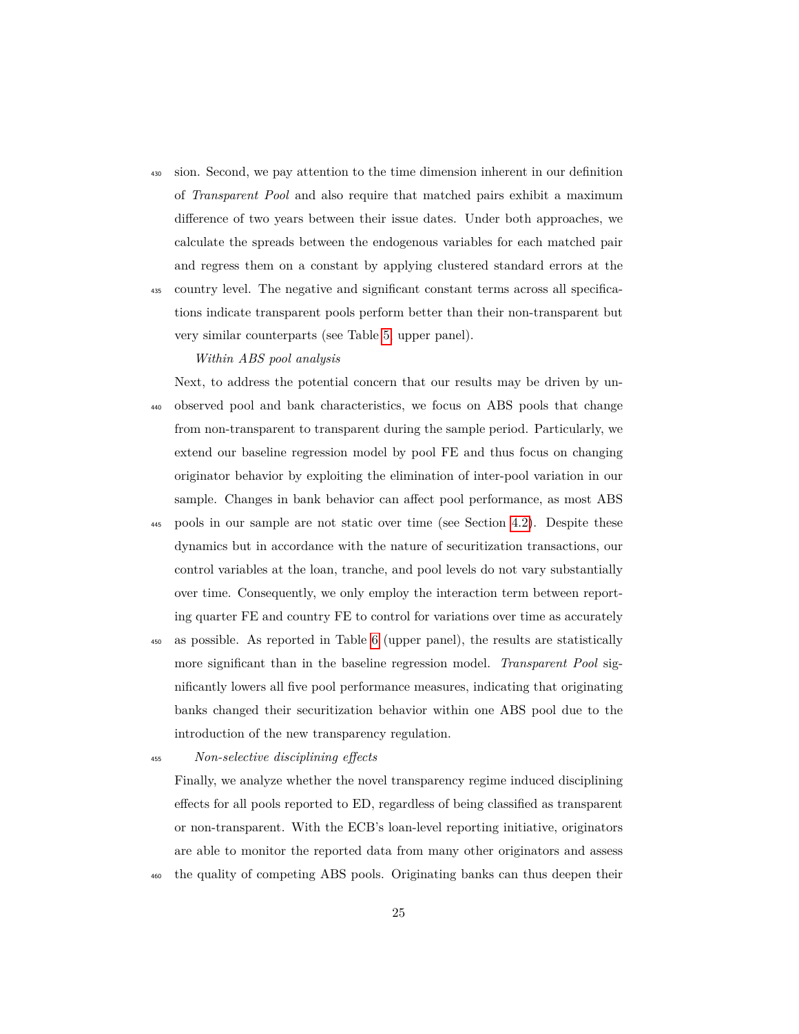- <sup>430</sup> sion. Second, we pay attention to the time dimension inherent in our definition of *Transparent Pool* and also require that matched pairs exhibit a maximum difference of two years between their issue dates. Under both approaches, we calculate the spreads between the endogenous variables for each matched pair and regress them on a constant by applying clustered standard errors at the
- <sup>435</sup> country level. The negative and significant constant terms across all specifications indicate transparent pools perform better than their non-transparent but very similar counterparts (see Table [5,](#page-25-0) upper panel).

*Within ABS pool analysis*

Next, to address the potential concern that our results may be driven by un-<sup>440</sup> observed pool and bank characteristics, we focus on ABS pools that change from non-transparent to transparent during the sample period. Particularly, we extend our baseline regression model by pool FE and thus focus on changing originator behavior by exploiting the elimination of inter-pool variation in our sample. Changes in bank behavior can affect pool performance, as most ABS

- <sup>445</sup> pools in our sample are not static over time (see Section [4.2\)](#page-13-0). Despite these dynamics but in accordance with the nature of securitization transactions, our control variables at the loan, tranche, and pool levels do not vary substantially over time. Consequently, we only employ the interaction term between reporting quarter FE and country FE to control for variations over time as accurately
- <sup>450</sup> as possible. As reported in Table [6](#page-26-0) (upper panel), the results are statistically more significant than in the baseline regression model. *Transparent Pool* significantly lowers all five pool performance measures, indicating that originating banks changed their securitization behavior within one ABS pool due to the introduction of the new transparency regulation.

<sup>455</sup> *Non-selective disciplining effects*

Finally, we analyze whether the novel transparency regime induced disciplining effects for all pools reported to ED, regardless of being classified as transparent or non-transparent. With the ECB's loan-level reporting initiative, originators are able to monitor the reported data from many other originators and assess the quality of competing ABS pools. Originating banks can thus deepen their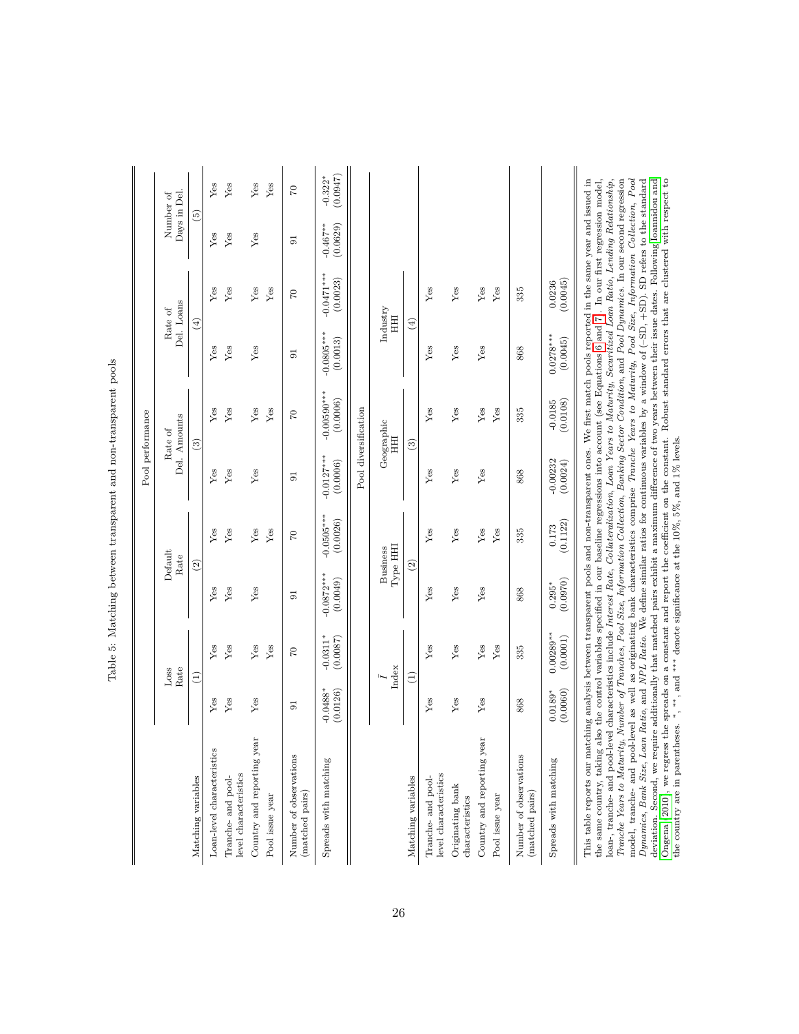<span id="page-25-0"></span>

|                                                                                                                                                                                                                                                                                                                                                                                                                                                                                                                                                                                                                                                                                                                                                                                                                                                                                                                                                                                                                                                                                                                                                                                                                                                                                                                                                                                                                      |                        |                         |                          |                            |                          | Pool performance          |                          |                          |                          |                       |
|----------------------------------------------------------------------------------------------------------------------------------------------------------------------------------------------------------------------------------------------------------------------------------------------------------------------------------------------------------------------------------------------------------------------------------------------------------------------------------------------------------------------------------------------------------------------------------------------------------------------------------------------------------------------------------------------------------------------------------------------------------------------------------------------------------------------------------------------------------------------------------------------------------------------------------------------------------------------------------------------------------------------------------------------------------------------------------------------------------------------------------------------------------------------------------------------------------------------------------------------------------------------------------------------------------------------------------------------------------------------------------------------------------------------|------------------------|-------------------------|--------------------------|----------------------------|--------------------------|---------------------------|--------------------------|--------------------------|--------------------------|-----------------------|
|                                                                                                                                                                                                                                                                                                                                                                                                                                                                                                                                                                                                                                                                                                                                                                                                                                                                                                                                                                                                                                                                                                                                                                                                                                                                                                                                                                                                                      |                        | Rate<br>Loss            |                          | Default<br>Rate            |                          | Del. Amounts<br>Rate of   |                          | Del. Loans<br>Rate of    | Number of<br>Days in Del |                       |
| Matching variables                                                                                                                                                                                                                                                                                                                                                                                                                                                                                                                                                                                                                                                                                                                                                                                                                                                                                                                                                                                                                                                                                                                                                                                                                                                                                                                                                                                                   |                        | Ξ                       |                          | $\widehat{\mathfrak{D}}$   |                          | $\widehat{c}$             |                          | $\widehat{\mathfrak{t}}$ | ම                        |                       |
| Loan-level characteristics                                                                                                                                                                                                                                                                                                                                                                                                                                                                                                                                                                                                                                                                                                                                                                                                                                                                                                                                                                                                                                                                                                                                                                                                                                                                                                                                                                                           | Yes                    | Yes                     | Yes                      | Yes                        | Yes                      | Yes                       | Yes                      | Yes                      | Yes                      | Yes                   |
| level characteristics<br>Tranche- and pool-                                                                                                                                                                                                                                                                                                                                                                                                                                                                                                                                                                                                                                                                                                                                                                                                                                                                                                                                                                                                                                                                                                                                                                                                                                                                                                                                                                          | Yes                    | Yes                     | Yes                      | ${\rm Yes}$                | Yes                      | Yes                       | Yes                      | Yes                      | Yes                      | Yes                   |
| Country and reporting year                                                                                                                                                                                                                                                                                                                                                                                                                                                                                                                                                                                                                                                                                                                                                                                                                                                                                                                                                                                                                                                                                                                                                                                                                                                                                                                                                                                           | Yes                    | Yes                     | Yes                      | ${\rm Yes}$                | Yes                      | ${\rm Yes}$               | Yes                      | Yes                      | Yes                      | Yes                   |
| Pool issue year                                                                                                                                                                                                                                                                                                                                                                                                                                                                                                                                                                                                                                                                                                                                                                                                                                                                                                                                                                                                                                                                                                                                                                                                                                                                                                                                                                                                      |                        | Yes                     |                          | Yes                        |                          | Yes                       |                          | Yes                      |                          | Yes                   |
| Number of observations<br>(matched pairs)                                                                                                                                                                                                                                                                                                                                                                                                                                                                                                                                                                                                                                                                                                                                                                                                                                                                                                                                                                                                                                                                                                                                                                                                                                                                                                                                                                            | $\overline{5}$         | $\mathcal{C}$           | $\overline{5}$           | $\mathfrak{S}$             | 5                        | $\overline{C}$            | $\overline{5}$           | $\mathcal{C}$            | $\overline{5}$           | $\mathcal{C}$         |
| Spreads with matching                                                                                                                                                                                                                                                                                                                                                                                                                                                                                                                                                                                                                                                                                                                                                                                                                                                                                                                                                                                                                                                                                                                                                                                                                                                                                                                                                                                                | $-0.0488*$<br>(0.0126) | $-0.0311*$<br>(0.0087)  | $-0.0872***$<br>(0.0049) | $-0.0505***$<br>(0.0026)   | $-0.0127***$<br>(0.0006) | $-0.00590***$<br>(0.0006) | $-0.0805***$<br>(0.0013) | $-0.0471***$<br>(0.0023) | $-0.467**$<br>(0.0629)   | (0.0947)<br>$-0.322*$ |
|                                                                                                                                                                                                                                                                                                                                                                                                                                                                                                                                                                                                                                                                                                                                                                                                                                                                                                                                                                                                                                                                                                                                                                                                                                                                                                                                                                                                                      |                        |                         |                          |                            |                          | Pool diversification      |                          |                          |                          |                       |
|                                                                                                                                                                                                                                                                                                                                                                                                                                                                                                                                                                                                                                                                                                                                                                                                                                                                                                                                                                                                                                                                                                                                                                                                                                                                                                                                                                                                                      |                        | Index                   |                          | Туре НН<br><b>Business</b> |                          | Geographic<br>HHI         |                          | Industry<br>HHI          |                          |                       |
| Matching variables                                                                                                                                                                                                                                                                                                                                                                                                                                                                                                                                                                                                                                                                                                                                                                                                                                                                                                                                                                                                                                                                                                                                                                                                                                                                                                                                                                                                   |                        | Ξ                       |                          | $\widehat{2}$              |                          | $\left(3\right)$          |                          | $\left( 4\right)$        |                          |                       |
| level characteristics<br>Tranche- and pool-                                                                                                                                                                                                                                                                                                                                                                                                                                                                                                                                                                                                                                                                                                                                                                                                                                                                                                                                                                                                                                                                                                                                                                                                                                                                                                                                                                          | Yes                    | Yes                     | Yes                      | Yes                        | Yes                      | Yes                       | Yes                      | Yes                      |                          |                       |
| Originating bank<br>characteristics                                                                                                                                                                                                                                                                                                                                                                                                                                                                                                                                                                                                                                                                                                                                                                                                                                                                                                                                                                                                                                                                                                                                                                                                                                                                                                                                                                                  | Yes                    | Yes                     | ${\rm Yes}$              | Yes                        | Yes                      | Yes                       | Yes                      | Yes                      |                          |                       |
| Country and reporting year                                                                                                                                                                                                                                                                                                                                                                                                                                                                                                                                                                                                                                                                                                                                                                                                                                                                                                                                                                                                                                                                                                                                                                                                                                                                                                                                                                                           | Yes                    | Yes                     | Yes                      | Yes                        | Yes                      | Yes                       | Yes                      | Yes                      |                          |                       |
| Pool issue year                                                                                                                                                                                                                                                                                                                                                                                                                                                                                                                                                                                                                                                                                                                                                                                                                                                                                                                                                                                                                                                                                                                                                                                                                                                                                                                                                                                                      |                        | Yes                     |                          | Yes                        |                          | Yes                       |                          | Yes                      |                          |                       |
| Number of observations<br>(matched pairs)                                                                                                                                                                                                                                                                                                                                                                                                                                                                                                                                                                                                                                                                                                                                                                                                                                                                                                                                                                                                                                                                                                                                                                                                                                                                                                                                                                            | 868                    | 335                     | 868                      | 335                        | 868                      | 335                       | 868                      | 335                      |                          |                       |
| Spreads with matching                                                                                                                                                                                                                                                                                                                                                                                                                                                                                                                                                                                                                                                                                                                                                                                                                                                                                                                                                                                                                                                                                                                                                                                                                                                                                                                                                                                                | (0.0060)<br>$0.0189*$  | $0.00289**$<br>(0.0001) | (0.0970)<br>$0.295*$     | (0.1122)<br>0.173          | $-0.00232$<br>(0.0024)   | (0.0108)<br>$-0.0185$     | $0.0278***$<br>(0.0045)  | (0.0045)<br>0.0236       |                          |                       |
| model, tranche- and pool-level as well as originating bank characteristics comprise Tranche Years to Maturity, Pool Size, Information Collection, Pool<br>Ongena (2010), we regress the spreads on a constant and report the coefficient on the constant. Robust standard errors that are clustered with respect to<br>Tranche Years to Maturity, Number of Tranches, Pool Size, Information Collection, Banking Sector Condition, and Pool Dynamics. In our second regression<br>Dynamics, Bank Size, Loan Ratio, and NPL Ratio. We define similar ratios for continuous variables by a window of $(-SD, +SD)$ . SD refers to the standard<br>This table reports our matching analysis between transparent pools and non-transparent ones. We first match pools reported in the same year and issued in<br>the same country, taking also the control variables specified in our baseline regressions into account (see Equations 6 and 7). In our first regression model,<br>loan-, tranche- and pool-level characteristics include Interest Rate, Collateralization, Loan Years to Maturity, Securitized Loan Ratio, Lending Relationship,<br>deviation. Second, we require additionally that matched pairs exhibit a maximum difference of two years between their issue dates. Following Ioannidou and<br>the country are in parentheses. $*, **$ , and $***$ denote significance at the 10%, 5%, and 1% levels. |                        |                         |                          |                            |                          |                           |                          |                          |                          |                       |

the country are in parentheses. ∗, ∗∗, and ∗∗∗ denote significance at the 10%, 5%, and 1% levels.

Table 5: Matching between transparent and non-transparent pools Table 5: Matching between transparent and non-transparent pools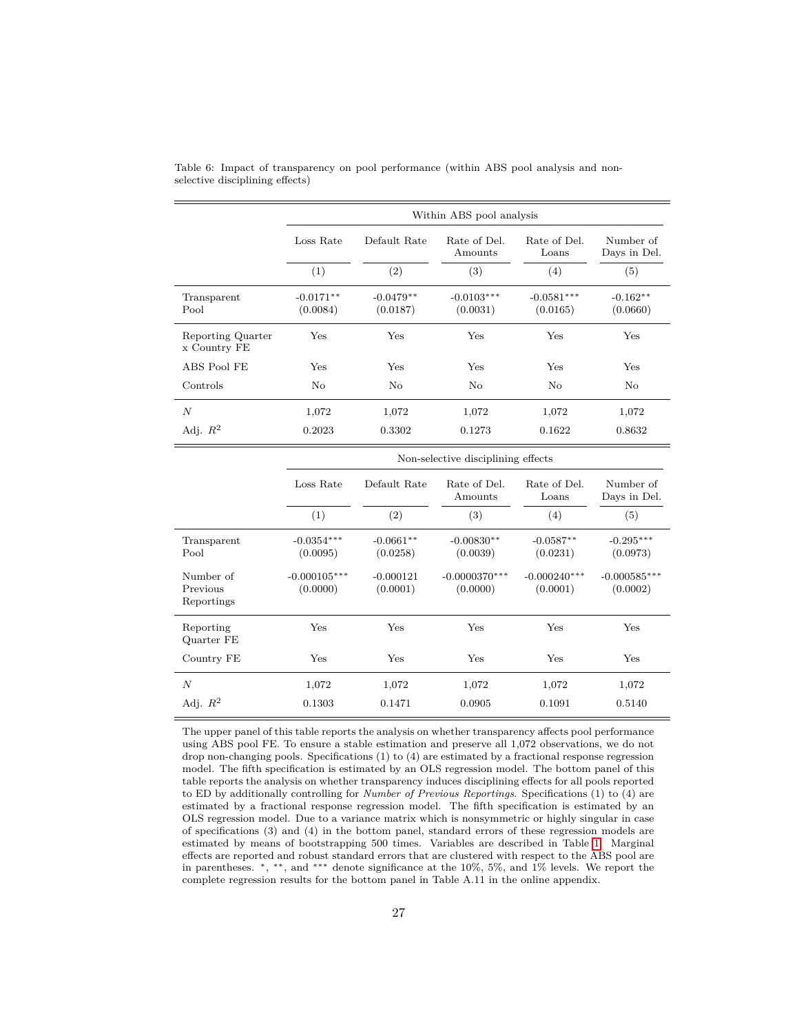|                                   |                         | Within ABS pool analysis |                          |                          |                           |  |  |
|-----------------------------------|-------------------------|--------------------------|--------------------------|--------------------------|---------------------------|--|--|
|                                   | Loss Rate               | Default Rate             | Rate of Del.<br>Amounts  | Rate of Del.<br>Loans    | Number of<br>Days in Del. |  |  |
|                                   | (1)                     | $\left( 2\right)$        | (3)                      | (4)                      | (5)                       |  |  |
| Transparent<br>Pool               | $-0.0171**$<br>(0.0084) | $-0.0479**$<br>(0.0187)  | $-0.0103***$<br>(0.0031) | $-0.0581***$<br>(0.0165) | $-0.162**$<br>(0.0660)    |  |  |
| Reporting Quarter<br>x Country FE | Yes                     | Yes                      | Yes                      | Yes                      | Yes                       |  |  |
| ABS Pool FE                       | Yes                     | Yes                      | Yes                      | $_{\rm Yes}$             | Yes                       |  |  |
| Controls                          | No                      | No                       | No                       | No                       | No                        |  |  |
| N                                 | 1,072                   | 1,072                    | 1,072                    | 1,072                    | 1,072                     |  |  |
| Adj. $R^2$                        | 0.2023                  | 0.3302                   | 0.1273                   | 0.1622                   | 0.8632                    |  |  |

<span id="page-26-0"></span>Table 6: Impact of transparency on pool performance (within ABS pool analysis and nonselective disciplining effects)

|                                     |                            | Non-selective disciplining effects |                             |                            |                            |  |  |  |
|-------------------------------------|----------------------------|------------------------------------|-----------------------------|----------------------------|----------------------------|--|--|--|
|                                     | Loss Rate                  | Default Rate                       | Rate of Del.<br>Amounts     | Rate of Del.<br>Loans      | Number of<br>Days in Del.  |  |  |  |
|                                     | (1)                        | (2)                                | (3)                         | (4)                        | (5)                        |  |  |  |
| Transparent<br>Pool                 | $-0.0354***$<br>(0.0095)   | $-0.0661**$<br>(0.0258)            | $-0.00830**$<br>(0.0039)    | $-0.0587**$<br>(0.0231)    | $-0.295***$<br>(0.0973)    |  |  |  |
| Number of<br>Previous<br>Reportings | $-0.000105***$<br>(0.0000) | $-0.000121$<br>(0.0001)            | $-0.0000370***$<br>(0.0000) | $-0.000240***$<br>(0.0001) | $-0.000585***$<br>(0.0002) |  |  |  |
| Reporting<br>Quarter FE             | Yes                        | Yes                                | Yes                         | Yes                        | Yes                        |  |  |  |
| Country FE                          | Yes                        | Yes                                | Yes                         | Yes                        | Yes                        |  |  |  |
| $\boldsymbol{N}$                    | 1,072                      | 1,072                              | 1,072                       | 1,072                      | 1,072                      |  |  |  |
| Adj. $R^2$                          | 0.1303                     | 0.1471                             | 0.0905                      | 0.1091                     | 0.5140                     |  |  |  |

The upper panel of this table reports the analysis on whether transparency affects pool performance using ABS pool FE. To ensure a stable estimation and preserve all 1,072 observations, we do not drop non-changing pools. Specifications (1) to (4) are estimated by a fractional response regression model. The fifth specification is estimated by an OLS regression model. The bottom panel of this table reports the analysis on whether transparency induces disciplining effects for all pools reported to ED by additionally controlling for *Number of Previous Reportings*. Specifications (1) to (4) are estimated by a fractional response regression model. The fifth specification is estimated by an OLS regression model. Due to a variance matrix which is nonsymmetric or highly singular in case of specifications (3) and (4) in the bottom panel, standard errors of these regression models are estimated by means of bootstrapping 500 times. Variables are described in Table [1.](#page-11-1) Marginal effects are reported and robust standard errors that are clustered with respect to the ABS pool are in parentheses. <sup>∗</sup>, ∗∗, and ∗∗∗ denote significance at the 10%, 5%, and 1% levels. We report the complete regression results for the bottom panel in Table A.11 in the online appendix.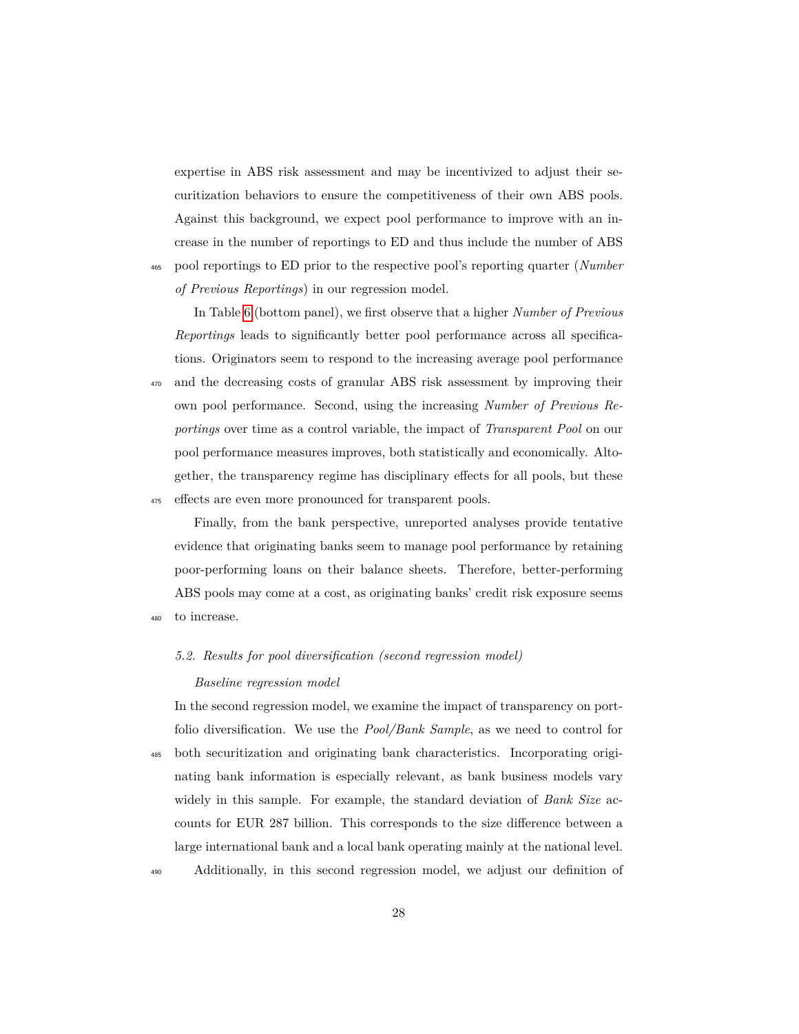expertise in ABS risk assessment and may be incentivized to adjust their securitization behaviors to ensure the competitiveness of their own ABS pools. Against this background, we expect pool performance to improve with an increase in the number of reportings to ED and thus include the number of ABS <sup>465</sup> pool reportings to ED prior to the respective pool's reporting quarter (*Number*

*of Previous Reportings*) in our regression model.

In Table [6](#page-26-0) (bottom panel), we first observe that a higher *Number of Previous Reportings* leads to significantly better pool performance across all specifications. Originators seem to respond to the increasing average pool performance <sup>470</sup> and the decreasing costs of granular ABS risk assessment by improving their own pool performance. Second, using the increasing *Number of Previous Reportings* over time as a control variable, the impact of *Transparent Pool* on our pool performance measures improves, both statistically and economically. Altogether, the transparency regime has disciplinary effects for all pools, but these <sup>475</sup> effects are even more pronounced for transparent pools.

Finally, from the bank perspective, unreported analyses provide tentative evidence that originating banks seem to manage pool performance by retaining poor-performing loans on their balance sheets. Therefore, better-performing ABS pools may come at a cost, as originating banks' credit risk exposure seems <sup>480</sup> to increase.

## <span id="page-27-0"></span>*5.2. Results for pool diversification (second regression model)*

#### *Baseline regression model*

In the second regression model, we examine the impact of transparency on portfolio diversification. We use the *Pool/Bank Sample*, as we need to control for <sup>485</sup> both securitization and originating bank characteristics. Incorporating originating bank information is especially relevant, as bank business models vary widely in this sample. For example, the standard deviation of *Bank Size* accounts for EUR 287 billion. This corresponds to the size difference between a large international bank and a local bank operating mainly at the national level.

<sup>490</sup> Additionally, in this second regression model, we adjust our definition of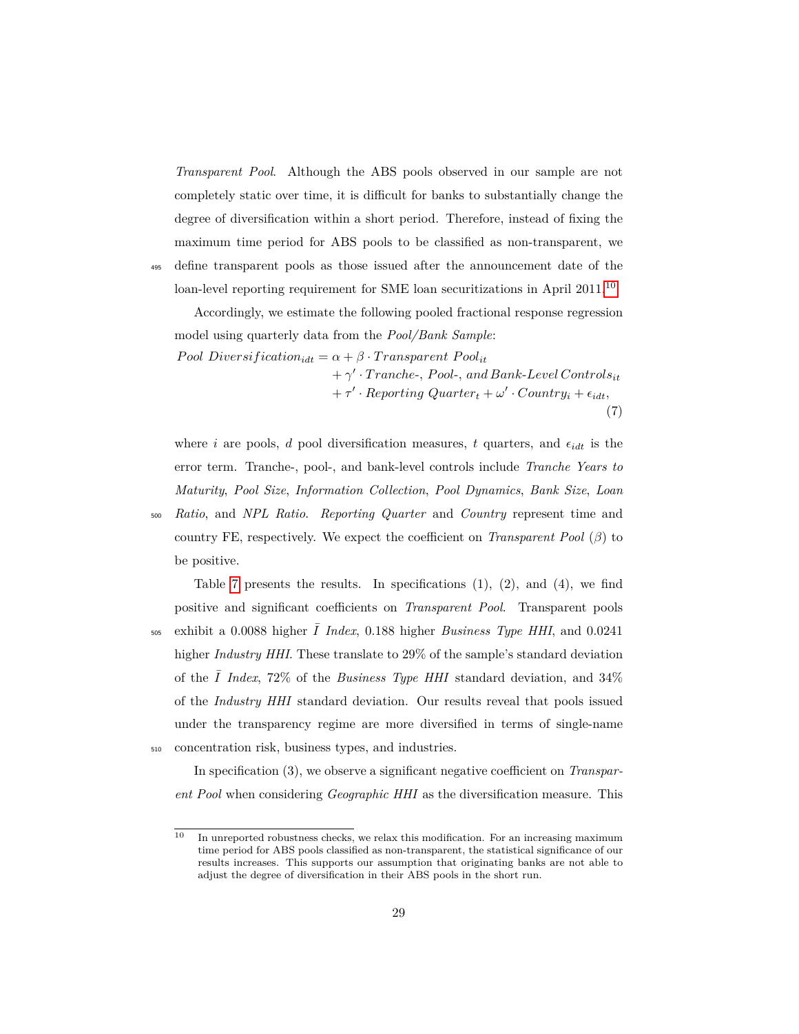*Transparent Pool*. Although the ABS pools observed in our sample are not completely static over time, it is difficult for banks to substantially change the degree of diversification within a short period. Therefore, instead of fixing the maximum time period for ABS pools to be classified as non-transparent, we <sup>495</sup> define transparent pools as those issued after the announcement date of the

loan-level reporting requirement for SME loan securitizations in April 2011.[10](#page-0-0)

Accordingly, we estimate the following pooled fractional response regression model using quarterly data from the *Pool/Bank Sample*:

*Pool Diversification*<sub>*idt*</sub> =  $\alpha + \beta \cdot Transparent$  *Pool<sub>it</sub>* + *γ* 0 · *T ranche*-*, P ool*-*, and Bank*-*Level Controlsit*  $+ \tau' \cdot Reporting\;Quarter_t + \omega' \cdot Country_t + \epsilon_{idt},$ (7)

where *i* are pools, *d* pool diversification measures, *t* quarters, and  $\epsilon_{idt}$  is the error term. Tranche-, pool-, and bank-level controls include *Tranche Years to Maturity*, *Pool Size*, *Information Collection*, *Pool Dynamics*, *Bank Size*, *Loan*

<sup>500</sup> *Ratio*, and *NPL Ratio*. *Reporting Quarter* and *Country* represent time and country FE, respectively. We expect the coefficient on *Transparent Pool* (*β*) to be positive.

Table [7](#page-30-0) presents the results. In specifications  $(1)$ ,  $(2)$ , and  $(4)$ , we find positive and significant coefficients on *Transparent Pool*. Transparent pools  $\frac{1}{205}$  exhibit a 0.0088 higher  $\overline{I}$  *Index*, 0.188 higher *Business Type HHI*, and 0.0241 higher *Industry HHI*. These translate to 29% of the sample's standard deviation of the  $\overline{I}$  *Index*, 72% of the *Business Type HHI* standard deviation, and 34% of the *Industry HHI* standard deviation. Our results reveal that pools issued under the transparency regime are more diversified in terms of single-name <sup>510</sup> concentration risk, business types, and industries.

In specification (3), we observe a significant negative coefficient on *Transparent Pool* when considering *Geographic HHI* as the diversification measure. This

 $\overline{10}$  In unreported robustness checks, we relax this modification. For an increasing maximum time period for ABS pools classified as non-transparent, the statistical significance of our results increases. This supports our assumption that originating banks are not able to adjust the degree of diversification in their ABS pools in the short run.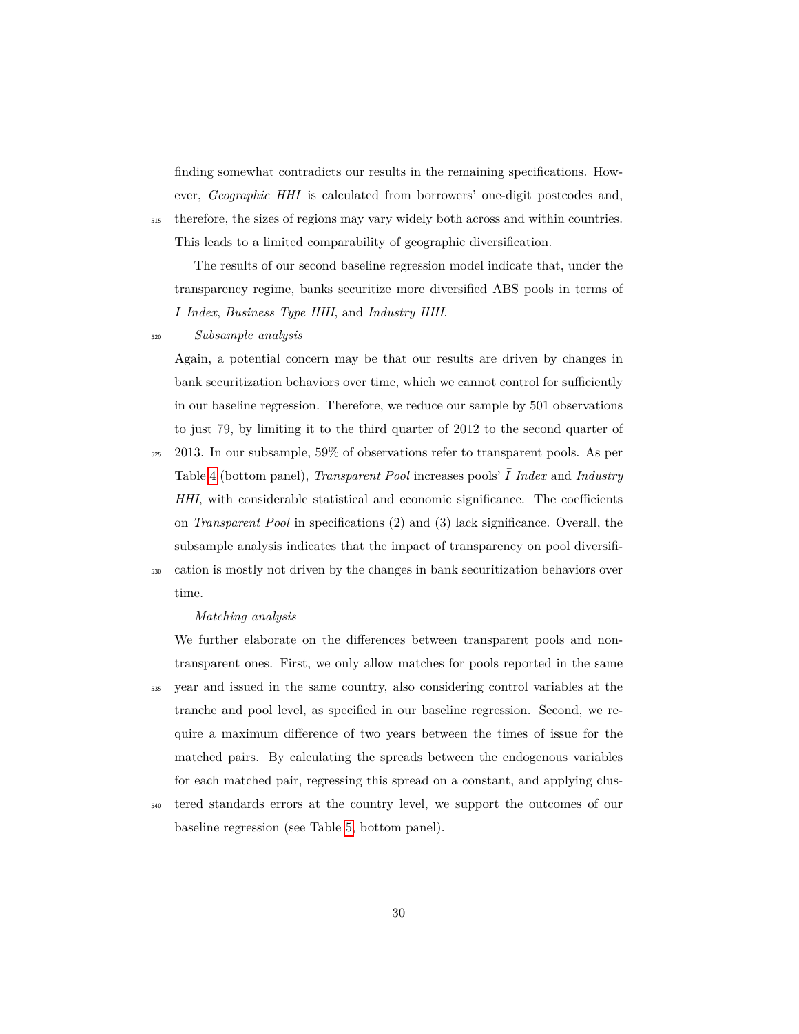finding somewhat contradicts our results in the remaining specifications. However, *Geographic HHI* is calculated from borrowers' one-digit postcodes and, <sup>515</sup> therefore, the sizes of regions may vary widely both across and within countries. This leads to a limited comparability of geographic diversification.

The results of our second baseline regression model indicate that, under the transparency regime, banks securitize more diversified ABS pools in terms of ¯*I Index*, *Business Type HHI*, and *Industry HHI*.

# <sup>520</sup> *Subsample analysis*

Again, a potential concern may be that our results are driven by changes in bank securitization behaviors over time, which we cannot control for sufficiently in our baseline regression. Therefore, we reduce our sample by 501 observations to just 79, by limiting it to the third quarter of 2012 to the second quarter of

- <sup>525</sup> 2013. In our subsample, 59% of observations refer to transparent pools. As per Table [4](#page-23-0) (bottom panel), *Transparent Pool* increases pools' ¯*I Index* and *Industry HHI*, with considerable statistical and economic significance. The coefficients on *Transparent Pool* in specifications (2) and (3) lack significance. Overall, the subsample analysis indicates that the impact of transparency on pool diversifi-<sup>530</sup> cation is mostly not driven by the changes in bank securitization behaviors over
- time.

#### *Matching analysis*

We further elaborate on the differences between transparent pools and nontransparent ones. First, we only allow matches for pools reported in the same <sup>535</sup> year and issued in the same country, also considering control variables at the tranche and pool level, as specified in our baseline regression. Second, we require a maximum difference of two years between the times of issue for the matched pairs. By calculating the spreads between the endogenous variables for each matched pair, regressing this spread on a constant, and applying clus-

<sup>540</sup> tered standards errors at the country level, we support the outcomes of our baseline regression (see Table [5,](#page-25-0) bottom panel).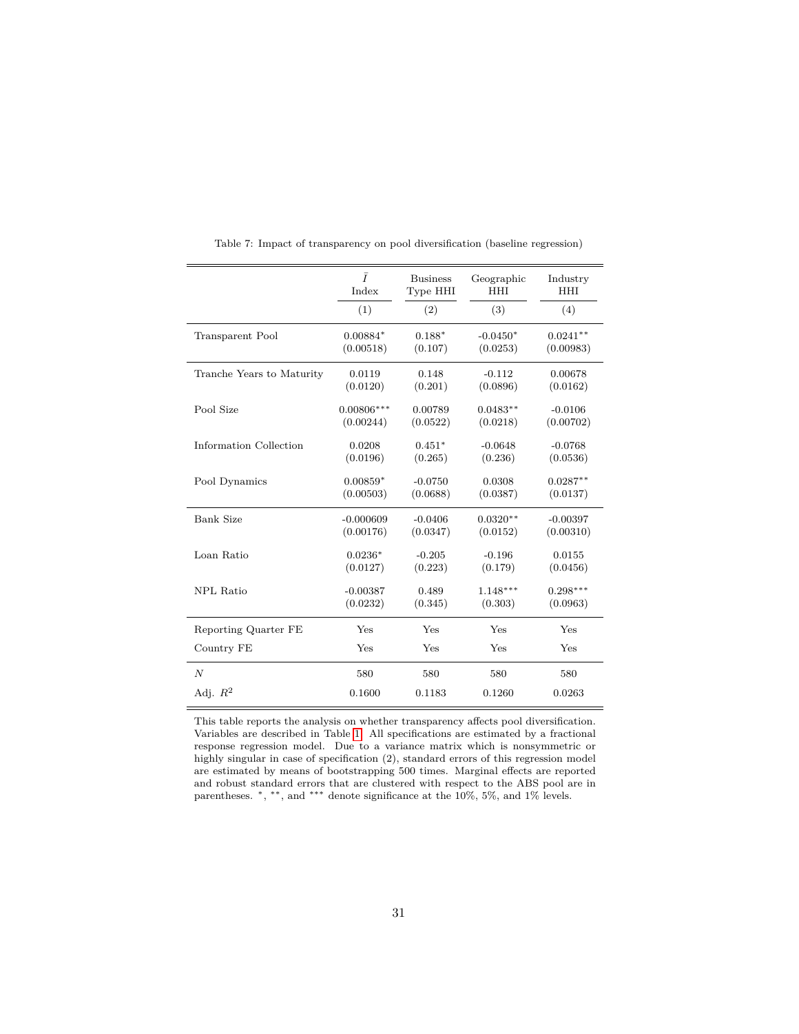<span id="page-30-0"></span>

|                           | $\bar{I}$    | <b>Business</b> | Geographic | Industry   |
|---------------------------|--------------|-----------------|------------|------------|
|                           | Index        | Type HHI        | <b>HHI</b> | <b>HHI</b> |
|                           | (1)          | (2)             | (3)        | (4)        |
| Transparent Pool          | $0.00884*$   | $0.188*$        | $-0.0450*$ | $0.0241**$ |
|                           | (0.00518)    | (0.107)         | (0.0253)   | (0.00983)  |
| Tranche Years to Maturity | 0.0119       | 0.148           | $-0.112$   | 0.00678    |
|                           | (0.0120)     | (0.201)         | (0.0896)   | (0.0162)   |
| Pool Size                 | $0.00806***$ | 0.00789         | $0.0483**$ | $-0.0106$  |
|                           | (0.00244)    | (0.0522)        | (0.0218)   | (0.00702)  |
| Information Collection    | 0.0208       | $0.451*$        | $-0.0648$  | $-0.0768$  |
|                           | (0.0196)     | (0.265)         | (0.236)    | (0.0536)   |
| Pool Dynamics             | $0.00859*$   | $-0.0750$       | 0.0308     | $0.0287**$ |
|                           | (0.00503)    | (0.0688)        | (0.0387)   | (0.0137)   |
| <b>Bank Size</b>          | $-0.000609$  | $-0.0406$       | $0.0320**$ | $-0.00397$ |
|                           | (0.00176)    | (0.0347)        | (0.0152)   | (0.00310)  |
| Loan Ratio                | $0.0236*$    | $-0.205$        | $-0.196$   | 0.0155     |
|                           | (0.0127)     | (0.223)         | (0.179)    | (0.0456)   |
| <b>NPL Ratio</b>          | $-0.00387$   | 0.489           | $1.148***$ | $0.298***$ |
|                           | (0.0232)     | (0.345)         | (0.303)    | (0.0963)   |
| Reporting Quarter FE      | Yes          | Yes             | Yes        | Yes        |
| Country FE                | Yes          | Yes             | Yes        | Yes        |
| $\boldsymbol{N}$          | 580          | 580             | 580        | 580        |
| Adj. $R^2$                | 0.1600       | 0.1183          | 0.1260     | 0.0263     |

Table 7: Impact of transparency on pool diversification (baseline regression)

This table reports the analysis on whether transparency affects pool diversification. Variables are described in Table [1.](#page-11-1) All specifications are estimated by a fractional response regression model. Due to a variance matrix which is nonsymmetric or highly singular in case of specification (2), standard errors of this regression model are estimated by means of bootstrapping 500 times. Marginal effects are reported and robust standard errors that are clustered with respect to the ABS pool are in parentheses. <sup>∗</sup>, ∗∗, and ∗∗∗ denote significance at the 10%, 5%, and 1% levels.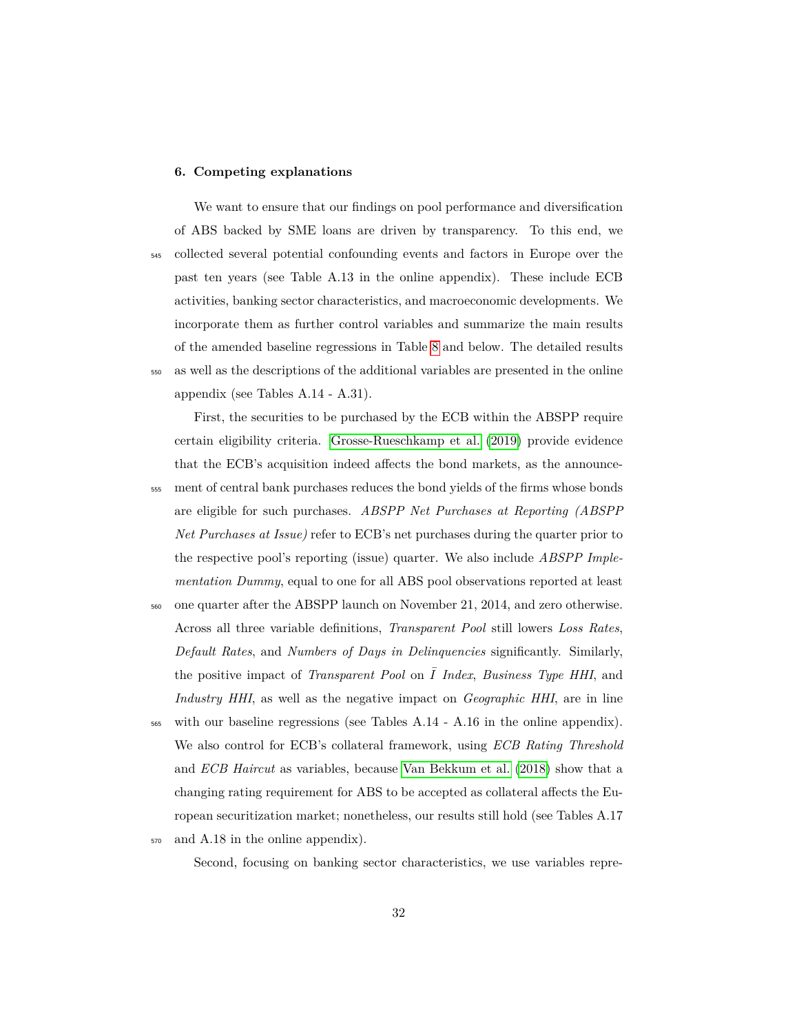#### <span id="page-31-0"></span>**6. Competing explanations**

We want to ensure that our findings on pool performance and diversification of ABS backed by SME loans are driven by transparency. To this end, we <sup>545</sup> collected several potential confounding events and factors in Europe over the past ten years (see Table A.13 in the online appendix). These include ECB activities, banking sector characteristics, and macroeconomic developments. We incorporate them as further control variables and summarize the main results of the amended baseline regressions in Table [8](#page-32-0) and below. The detailed results <sup>550</sup> as well as the descriptions of the additional variables are presented in the online appendix (see Tables A.14 - A.31).

First, the securities to be purchased by the ECB within the ABSPP require certain eligibility criteria. [Grosse-Rueschkamp et al.](#page-36-9) [\(2019\)](#page-36-9) provide evidence that the ECB's acquisition indeed affects the bond markets, as the announce-<sup>555</sup> ment of central bank purchases reduces the bond yields of the firms whose bonds are eligible for such purchases. *ABSPP Net Purchases at Reporting (ABSPP Net Purchases at Issue)* refer to ECB's net purchases during the quarter prior to the respective pool's reporting (issue) quarter. We also include *ABSPP Implementation Dummy*, equal to one for all ABS pool observations reported at least

- <sup>560</sup> one quarter after the ABSPP launch on November 21, 2014, and zero otherwise. Across all three variable definitions, *Transparent Pool* still lowers *Loss Rates*, *Default Rates*, and *Numbers of Days in Delinquencies* significantly. Similarly, the positive impact of *Transparent Pool* on  $\overline{I}$  *Index, Business Type HHI*, and *Industry HHI*, as well as the negative impact on *Geographic HHI*, are in line
- $565$  with our baseline regressions (see Tables A.14 A.16 in the online appendix). We also control for ECB's collateral framework, using *ECB Rating Threshold* and *ECB Haircut* as variables, because [Van Bekkum et al.](#page-38-1) [\(2018\)](#page-38-1) show that a changing rating requirement for ABS to be accepted as collateral affects the European securitization market; nonetheless, our results still hold (see Tables A.17
- <sup>570</sup> and A.18 in the online appendix).

Second, focusing on banking sector characteristics, we use variables repre-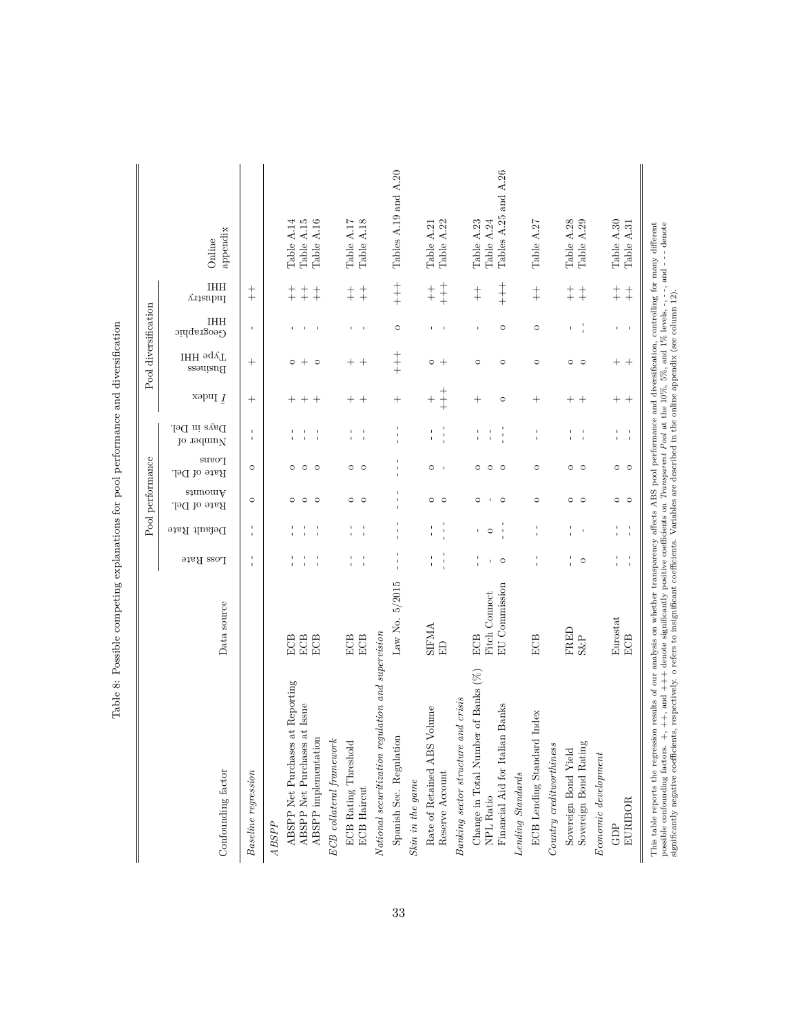<span id="page-32-0"></span>

| Confounding factor                                                                         | Data source                    | $\Gamma^{\rm OSR}$ Rate     | Default Rate              | sinomA<br>Rate of Del. | <b>Loans</b><br>Rate of Del. | .ləU ni əyaO<br>jo rodnul   | xəpu<br>I $\underline{I}$ | ІНН эдуТ<br>Business | IHH<br>Geographic                        | IHH<br>Industry                      | appendix<br>Online                 |
|--------------------------------------------------------------------------------------------|--------------------------------|-----------------------------|---------------------------|------------------------|------------------------------|-----------------------------|---------------------------|----------------------|------------------------------------------|--------------------------------------|------------------------------------|
| Baseline regression                                                                        |                                | f,                          | $\frac{1}{1}$             | $\circ$                | $\circ$                      | $\mathsf I$<br>$\mathbf{I}$ | $^{+}$                    |                      | $\mathbf{I}$                             | $\ddagger$                           |                                    |
| ABSPP                                                                                      |                                |                             |                           |                        |                              |                             |                           |                      |                                          |                                      |                                    |
|                                                                                            |                                |                             |                           |                        |                              |                             |                           |                      |                                          |                                      |                                    |
| at Reporting<br>ABSPP Net Purchases                                                        | ECB                            |                             |                           | $\circ$                | $\circ$                      |                             | $^+$                      | $\circ$              |                                          |                                      | Table A.14                         |
| ABSPP Net Purchases at Issue<br>ABSPP implementation                                       | ECB<br>ECB                     | $\mathbf I$<br>$\mathbf{I}$ |                           | $\circ$<br>$\circ$     | $\circ$<br>$\circ$           | т,                          | $^{+}$<br>$^{+}$          | $+$<br>$\circ$       | $\mathbf{1}$<br>$\overline{\phantom{a}}$ | $\ddagger$<br>$\ddagger$             | Table A.15<br>Table A.16           |
| $ECB$ collateral framework                                                                 |                                |                             |                           |                        |                              |                             |                           |                      |                                          |                                      |                                    |
| ECB Rating Threshold                                                                       | ECB                            |                             |                           | 0                      | $\circ$                      |                             | $^{+}$                    |                      | $\mathsf{I}$                             | $+$                                  | Table A.17                         |
| <b>ECB</b> Haircut                                                                         | $_{\rm ECB}$                   | $\frac{1}{4}$               |                           | $\circ$                | $\circ$                      | $\frac{1}{4}$               | $^{+}$                    | $+$ +                | $\blacksquare$                           | $\ddagger$                           | Table A.18                         |
| National securitization regulation and supervision                                         |                                |                             |                           |                        |                              |                             |                           |                      |                                          |                                      |                                    |
| Spanish Sec. Regulation                                                                    | Law No. 5/2015                 | $\frac{1}{1}$               | $\mathbf I$               |                        |                              | ţ                           | $^{+}$                    | $+$                  | $\circ$                                  | $+$                                  | Tables A.19 and A.20               |
| Skin in the game                                                                           |                                |                             |                           |                        |                              |                             |                           |                      |                                          |                                      |                                    |
| Volume<br>Rate of Retained ABS                                                             | <b>SIFMA</b>                   | $\frac{1}{1}$               |                           | 0                      | $\circ$                      |                             |                           | $\circ$ +            | $\mathbb{F}$                             | $\begin{array}{c} + \ + \end{array}$ | Table A.21                         |
| Reserve Account                                                                            | E                              | $\frac{1}{1}$               | $\frac{1}{1}$             | $\circ$                | $\mathbf{I}$                 |                             |                           |                      | $\mathbf{I}$                             | $+$<br>$+$                           | Table A.22                         |
| Banking sector structure and crisis                                                        |                                |                             |                           |                        |                              |                             |                           |                      |                                          |                                      |                                    |
| Change in Total Number of Banks (%)                                                        | ECB                            |                             |                           | 0                      | $\circ$                      |                             | $\hspace{0.1mm} +$        | $\circ$              | $\mathbf I$                              | $+$                                  | Table A.23                         |
| Financial Aid for Italian Banks<br>NPL Ratio                                               | EU Commission<br>Fitch Connect | $\circ$<br>$\mathbf{I}$     | $\circ$<br>$\blacksquare$ | $\circ$                | $\circ$<br>$\circ$           | $\frac{1}{2}$               | $\circ$                   | $\circ$              | $\circ$                                  | $+$                                  | Tables A.25 and A.26<br>Table A.24 |
| $\label{lemma:main} Lending\ Stand and s$                                                  |                                |                             |                           |                        |                              |                             |                           |                      |                                          |                                      |                                    |
| Index<br>ECB Lending Standard                                                              | ECB                            |                             |                           | $\circ$                | $\circ$                      | $\mathsf I$                 | $\hspace{0.1mm} +$        | $\circ$              | $\circ$                                  | $+$                                  | Table A.27                         |
| Country creditworthiness                                                                   |                                |                             |                           |                        |                              |                             |                           |                      |                                          |                                      |                                    |
|                                                                                            | FRED                           |                             |                           | $\circ$                | $\circ$                      | I.                          | $^{+}$                    | $\circ$              | $\mathsf{I}$                             | $\ddagger$                           | Table A.28                         |
| $\begin{array}{c} \text{Sovereign Bond Yield} \\ \text{Sovereign Bond Rating} \end{array}$ | $S\&P$                         | $\circ$                     | $\blacksquare$            | $\circ$                | $\circ$                      | $\frac{1}{4}$               | $^{+}$                    | $\circ$              | $\frac{1}{4}$                            | $\ddagger$                           | Table A.29                         |
| Economic development                                                                       |                                |                             |                           |                        |                              |                             |                           |                      |                                          |                                      |                                    |
| GDP                                                                                        | Eurostat                       | $\frac{1}{4}$               | t,<br>ï                   |                        |                              | t,                          |                           |                      | $\Gamma$                                 | $^{+}_{+}$                           | Table A.30                         |
| EURIBOR                                                                                    | ECB                            | $\frac{1}{4}$               | $\frac{1}{1}$             | $\circ$ $\circ$        | $\circ$ $\circ$              | $\frac{1}{1}$               | $+$ +                     | $++$                 | $\sim$ 1                                 | $\begin{array}{c} + \ + \end{array}$ | Table A.31                         |

Table 8: Possible competing explanations for pool performance and diversification Table 8: Possible competing explanations for pool performance and diversification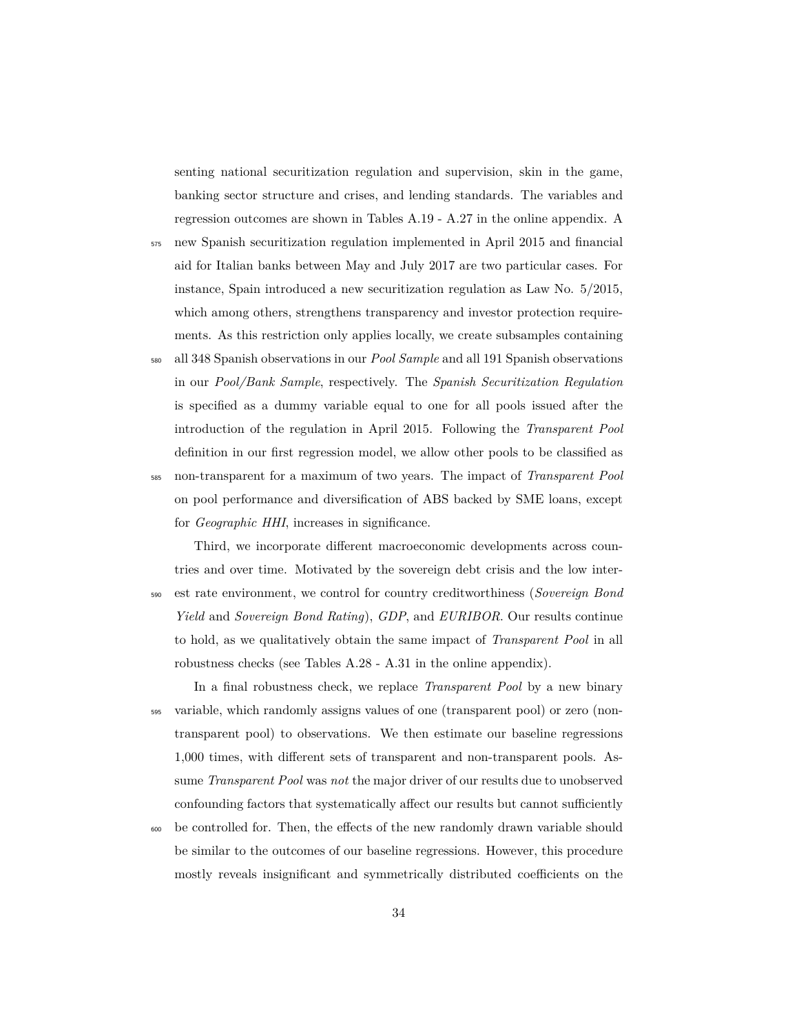senting national securitization regulation and supervision, skin in the game, banking sector structure and crises, and lending standards. The variables and regression outcomes are shown in Tables A.19 - A.27 in the online appendix. A

- <sup>575</sup> new Spanish securitization regulation implemented in April 2015 and financial aid for Italian banks between May and July 2017 are two particular cases. For instance, Spain introduced a new securitization regulation as Law No. 5/2015, which among others, strengthens transparency and investor protection requirements. As this restriction only applies locally, we create subsamples containing
- <sup>580</sup> all 348 Spanish observations in our *Pool Sample* and all 191 Spanish observations in our *Pool/Bank Sample*, respectively. The *Spanish Securitization Regulation* is specified as a dummy variable equal to one for all pools issued after the introduction of the regulation in April 2015. Following the *Transparent Pool* definition in our first regression model, we allow other pools to be classified as <sup>585</sup> non-transparent for a maximum of two years. The impact of *Transparent Pool* on pool performance and diversification of ABS backed by SME loans, except for *Geographic HHI*, increases in significance.

Third, we incorporate different macroeconomic developments across countries and over time. Motivated by the sovereign debt crisis and the low inter-<sup>590</sup> est rate environment, we control for country creditworthiness (*Sovereign Bond Yield* and *Sovereign Bond Rating*), *GDP*, and *EURIBOR*. Our results continue to hold, as we qualitatively obtain the same impact of *Transparent Pool* in all robustness checks (see Tables A.28 - A.31 in the online appendix).

In a final robustness check, we replace *Transparent Pool* by a new binary <sup>595</sup> variable, which randomly assigns values of one (transparent pool) or zero (nontransparent pool) to observations. We then estimate our baseline regressions 1,000 times, with different sets of transparent and non-transparent pools. Assume *Transparent Pool* was *not* the major driver of our results due to unobserved confounding factors that systematically affect our results but cannot sufficiently

<sup>600</sup> be controlled for. Then, the effects of the new randomly drawn variable should be similar to the outcomes of our baseline regressions. However, this procedure mostly reveals insignificant and symmetrically distributed coefficients on the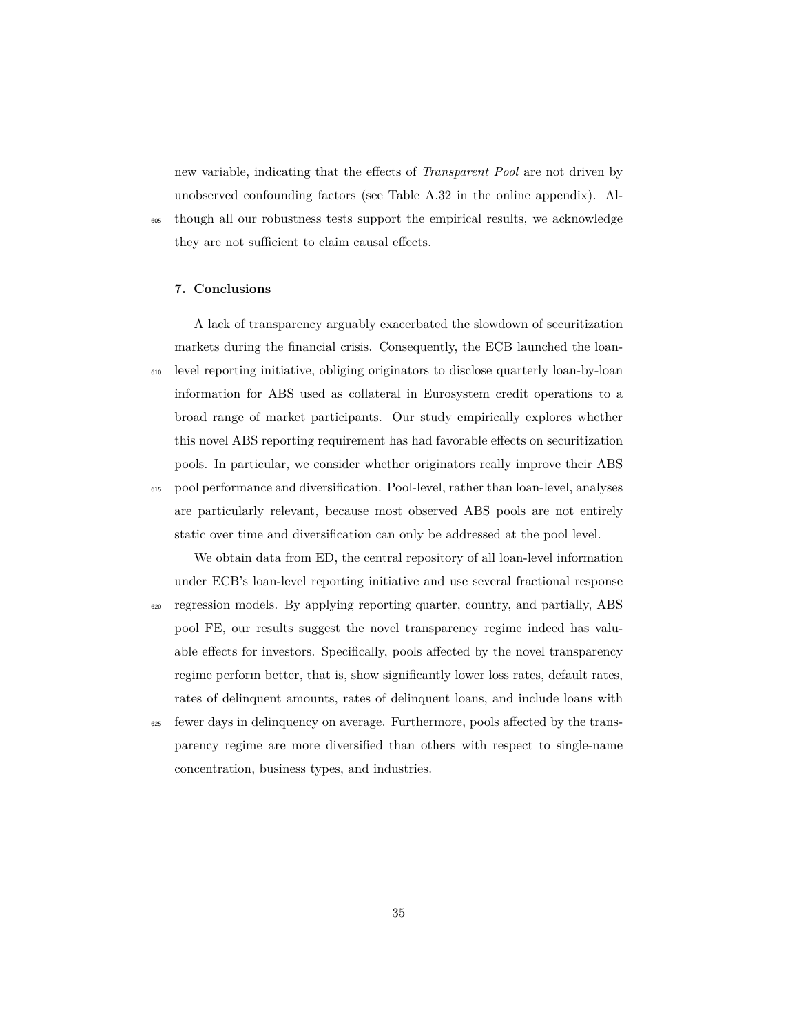new variable, indicating that the effects of *Transparent Pool* are not driven by unobserved confounding factors (see Table A.32 in the online appendix). Al-<sup>605</sup> though all our robustness tests support the empirical results, we acknowledge they are not sufficient to claim causal effects.

## <span id="page-34-0"></span>**7. Conclusions**

A lack of transparency arguably exacerbated the slowdown of securitization markets during the financial crisis. Consequently, the ECB launched the loan-<sup>610</sup> level reporting initiative, obliging originators to disclose quarterly loan-by-loan information for ABS used as collateral in Eurosystem credit operations to a broad range of market participants. Our study empirically explores whether this novel ABS reporting requirement has had favorable effects on securitization pools. In particular, we consider whether originators really improve their ABS <sup>615</sup> pool performance and diversification. Pool-level, rather than loan-level, analyses are particularly relevant, because most observed ABS pools are not entirely static over time and diversification can only be addressed at the pool level.

We obtain data from ED, the central repository of all loan-level information under ECB's loan-level reporting initiative and use several fractional response <sup>620</sup> regression models. By applying reporting quarter, country, and partially, ABS pool FE, our results suggest the novel transparency regime indeed has valuable effects for investors. Specifically, pools affected by the novel transparency regime perform better, that is, show significantly lower loss rates, default rates, rates of delinquent amounts, rates of delinquent loans, and include loans with

<sup>625</sup> fewer days in delinquency on average. Furthermore, pools affected by the transparency regime are more diversified than others with respect to single-name concentration, business types, and industries.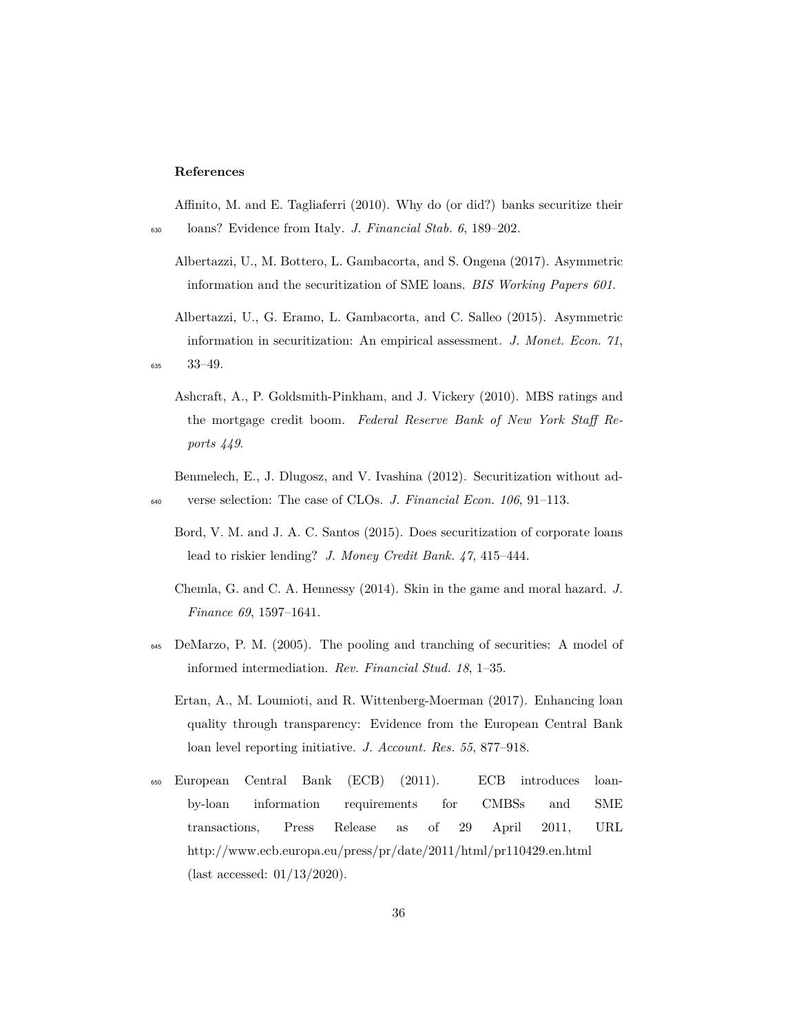#### **References**

<span id="page-35-9"></span>Affinito, M. and E. Tagliaferri (2010). Why do (or did?) banks securitize their <sup>630</sup> loans? Evidence from Italy. *J. Financial Stab. 6*, 189–202.

- <span id="page-35-2"></span>Albertazzi, U., M. Bottero, L. Gambacorta, and S. Ongena (2017). Asymmetric information and the securitization of SME loans. *BIS Working Papers 601*.
- <span id="page-35-8"></span><span id="page-35-0"></span>Albertazzi, U., G. Eramo, L. Gambacorta, and C. Salleo (2015). Asymmetric information in securitization: An empirical assessment. *J. Monet. Econ. 71*, <sup>635</sup> 33–49.
	- Ashcraft, A., P. Goldsmith-Pinkham, and J. Vickery (2010). MBS ratings and the mortgage credit boom. *Federal Reserve Bank of New York Staff Reports 449*.

<span id="page-35-4"></span>Benmelech, E., J. Dlugosz, and V. Ivashina (2012). Securitization without ad-<sup>640</sup> verse selection: The case of CLOs. *J. Financial Econ. 106*, 91–113.

- <span id="page-35-3"></span>Bord, V. M. and J. A. C. Santos (2015). Does securitization of corporate loans lead to riskier lending? *J. Money Credit Bank. 47*, 415–444.
- <span id="page-35-6"></span>Chemla, G. and C. A. Hennessy (2014). Skin in the game and moral hazard. *J. Finance 69*, 1597–1641.
- <span id="page-35-5"></span><span id="page-35-1"></span><sup>645</sup> DeMarzo, P. M. (2005). The pooling and tranching of securities: A model of informed intermediation. *Rev. Financial Stud. 18*, 1–35.
	- Ertan, A., M. Loumioti, and R. Wittenberg-Moerman (2017). Enhancing loan quality through transparency: Evidence from the European Central Bank loan level reporting initiative. *J. Account. Res. 55*, 877–918.
- <span id="page-35-7"></span><sup>650</sup> European Central Bank (ECB) (2011). ECB introduces loanby-loan information requirements for CMBSs and SME transactions, Press Release as of 29 April 2011, URL http://www.ecb.europa.eu/press/pr/date/2011/html/pr110429.en.html (last accessed: 01/13/2020).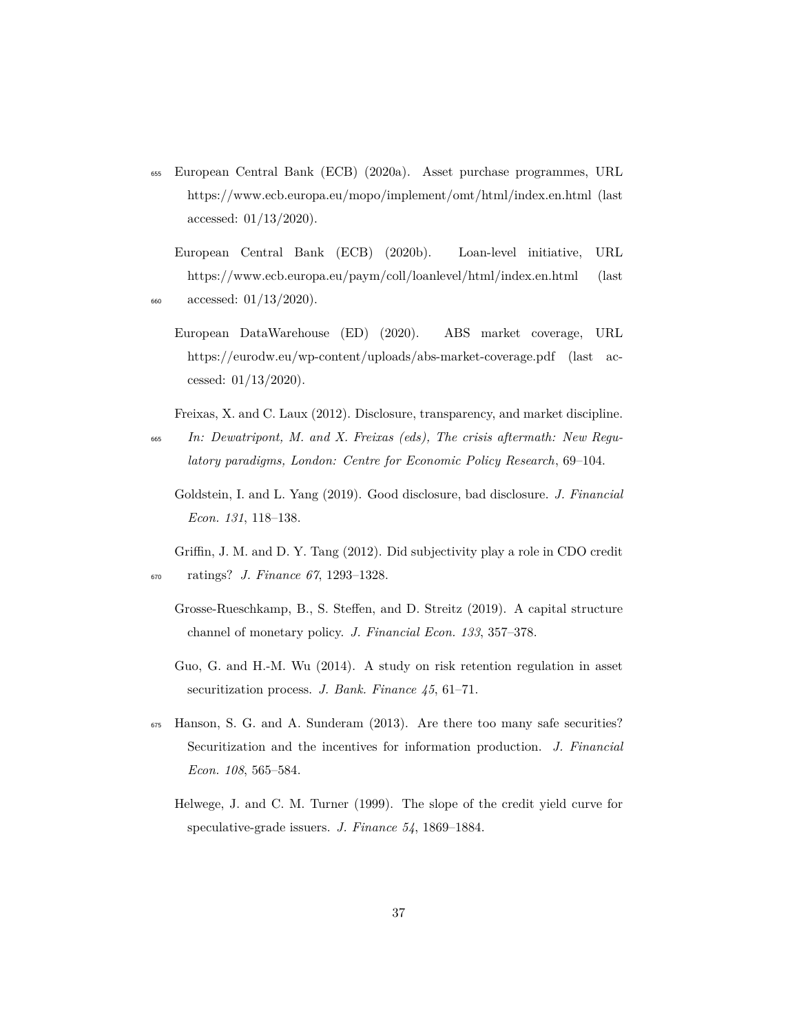<span id="page-36-4"></span><sup>655</sup> European Central Bank (ECB) (2020a). Asset purchase programmes, URL https://www.ecb.europa.eu/mopo/implement/omt/html/index.en.html (last accessed: 01/13/2020).

<span id="page-36-6"></span>European Central Bank (ECB) (2020b). Loan-level initiative, URL https://www.ecb.europa.eu/paym/coll/loanlevel/html/index.en.html (last <sup>660</sup> accessed: 01/13/2020).

<span id="page-36-7"></span>

European DataWarehouse (ED) (2020). ABS market coverage, URL https://eurodw.eu/wp-content/uploads/abs-market-coverage.pdf (last accessed: 01/13/2020).

<span id="page-36-5"></span>Freixas, X. and C. Laux (2012). Disclosure, transparency, and market discipline.

- <span id="page-36-3"></span><sup>665</sup> *In: Dewatripont, M. and X. Freixas (eds), The crisis aftermath: New Regulatory paradigms, London: Centre for Economic Policy Research*, 69–104.
	- Goldstein, I. and L. Yang (2019). Good disclosure, bad disclosure. *J. Financial Econ. 131*, 118–138.

<span id="page-36-0"></span>Griffin, J. M. and D. Y. Tang (2012). Did subjectivity play a role in CDO credit <sup>670</sup> ratings? *J. Finance 67*, 1293–1328.

- <span id="page-36-9"></span>Grosse-Rueschkamp, B., S. Steffen, and D. Streitz (2019). A capital structure channel of monetary policy. *J. Financial Econ. 133*, 357–378.
- <span id="page-36-2"></span>Guo, G. and H.-M. Wu (2014). A study on risk retention regulation in asset securitization process. *J. Bank. Finance 45*, 61–71.
- <span id="page-36-8"></span><span id="page-36-1"></span><sup>675</sup> Hanson, S. G. and A. Sunderam (2013). Are there too many safe securities? Securitization and the incentives for information production. *J. Financial Econ. 108*, 565–584.
	- Helwege, J. and C. M. Turner (1999). The slope of the credit yield curve for speculative-grade issuers. *J. Finance 54*, 1869–1884.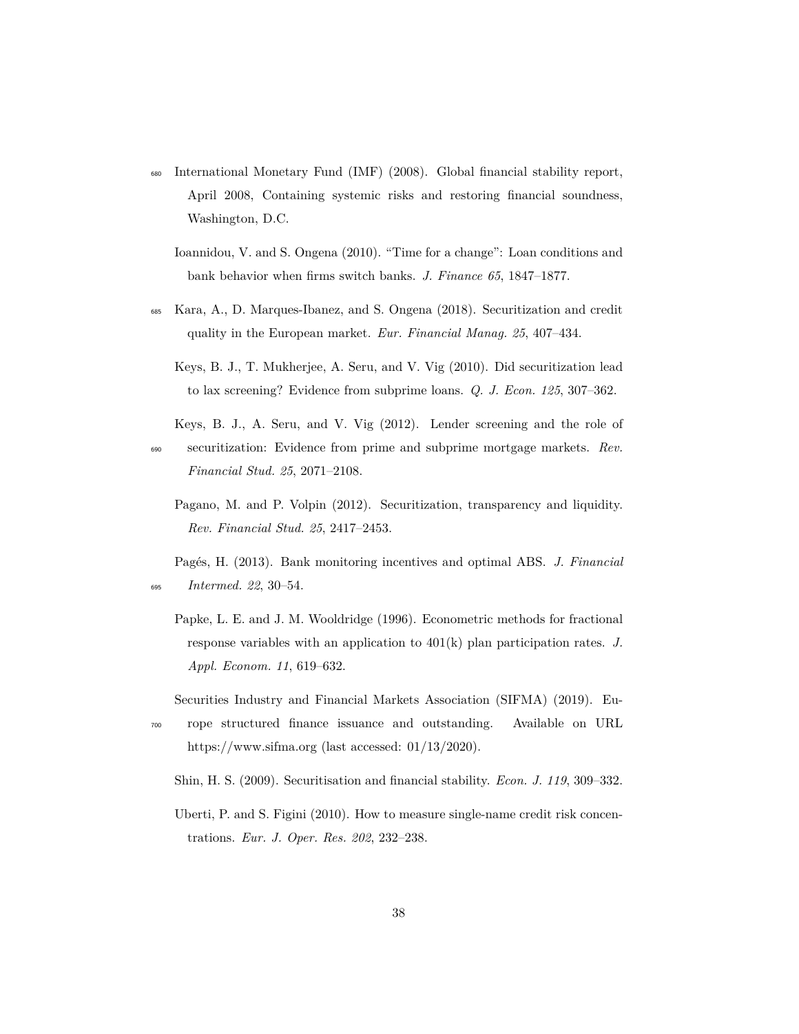- <span id="page-37-10"></span><span id="page-37-3"></span><sup>680</sup> International Monetary Fund (IMF) (2008). Global financial stability report, April 2008, Containing systemic risks and restoring financial soundness, Washington, D.C.
	- Ioannidou, V. and S. Ongena (2010). "Time for a change": Loan conditions and bank behavior when firms switch banks. *J. Finance 65*, 1847–1877.
- <span id="page-37-6"></span><span id="page-37-4"></span><sup>685</sup> Kara, A., D. Marques-Ibanez, and S. Ongena (2018). Securitization and credit quality in the European market. *Eur. Financial Manag. 25*, 407–434.
	- Keys, B. J., T. Mukherjee, A. Seru, and V. Vig (2010). Did securitization lead to lax screening? Evidence from subprime loans. *Q. J. Econ. 125*, 307–362.
- <span id="page-37-5"></span><span id="page-37-2"></span>Keys, B. J., A. Seru, and V. Vig (2012). Lender screening and the role of <sup>690</sup> securitization: Evidence from prime and subprime mortgage markets. *Rev. Financial Stud. 25*, 2071–2108.
	- Pagano, M. and P. Volpin (2012). Securitization, transparency and liquidity. *Rev. Financial Stud. 25*, 2417–2453.

<span id="page-37-7"></span>Pagés, H. (2013). Bank monitoring incentives and optimal ABS. *J. Financial* <sup>695</sup> *Intermed. 22*, 30–54.

- <span id="page-37-9"></span>Papke, L. E. and J. M. Wooldridge (1996). Econometric methods for fractional response variables with an application to 401(k) plan participation rates. *J. Appl. Econom. 11*, 619–632.
- <span id="page-37-0"></span>Securities Industry and Financial Markets Association (SIFMA) (2019). Eu-
- <sup>700</sup> rope structured finance issuance and outstanding. Available on URL https://www.sifma.org (last accessed: 01/13/2020).

<span id="page-37-1"></span>Shin, H. S. (2009). Securitisation and financial stability. *Econ. J. 119*, 309–332.

<span id="page-37-8"></span>Uberti, P. and S. Figini (2010). How to measure single-name credit risk concentrations. *Eur. J. Oper. Res. 202*, 232–238.